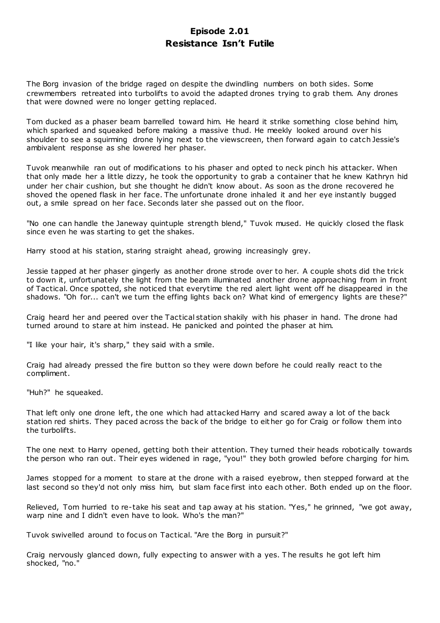# **Episode 2.01 Resistance Isn't Futile**

The Borg invasion of the bridge raged on despite the dwindling numbers on both sides. Some crewmembers retreated into turbolifts to avoid the adapted drones trying to grab them. Any drones that were downed were no longer getting replaced.

Tom ducked as a phaser beam barrelled toward him. He heard it strike something close behind him, which sparked and squeaked before making a massive thud. He meekly looked around over his shoulder to see a squirming drone lying next to the viewscreen, then forward again to catch Jessie's ambivalent response as she lowered her phaser.

Tuvok meanwhile ran out of modifications to his phaser and opted to neck pinch his attacker. When that only made her a little dizzy, he took the opportunity to grab a container that he knew Kathryn hid under her chair cushion, but she thought he didn't know about. As soon as the drone recovered he shoved the opened flask in her face. The unfortunate drone inhaled it and her eye instantly bugged out, a smile spread on her face. Seconds later she passed out on the floor.

"No one can handle the Janeway quintuple strength blend," Tuvok mused. He quickly closed the flask since even he was starting to get the shakes.

Harry stood at his station, staring straight ahead, growing increasingly grey.

Jessie tapped at her phaser gingerly as another drone strode over to her. A couple shots did the trick to down it, unfortunately the light from the beam illuminated another drone approaching from in front of Tactical. Once spotted, she noticed that everytime the red alert light went off he disappeared in the shadows. "Oh for... can't we turn the effing lights back on? What kind of emergency lights are these?"

Craig heard her and peered over the Tactical station shakily with his phaser in hand. The drone had turned around to stare at him instead. He panicked and pointed the phaser at him.

"I like your hair, it's sharp," they said with a smile.

Craig had already pressed the fire button so they were down before he could really react to the compliment.

"Huh?" he squeaked.

That left only one drone left, the one which had attacked Harry and scared away a lot of the back station red shirts. They paced across the back of the bridge to either go for Craig or follow them into the turbolifts.

The one next to Harry opened, getting both their attention. They turned their heads robotically towards the person who ran out. Their eyes widened in rage, "you!" they both growled before charging for him.

James stopped for a moment to stare at the drone with a raised eyebrow, then stepped forward at the last second so they'd not only miss him, but slam face first into each other. Both ended up on the floor.

Relieved, Tom hurried to re-take his seat and tap away at his station. "Yes," he grinned, "we got away, warp nine and I didn't even have to look. Who's the man?"

Tuvok swivelled around to focus on Tactical. "Are the Borg in pursuit?"

Craig nervously glanced down, fully expecting to answer with a yes. T he results he got left him shocked, "no."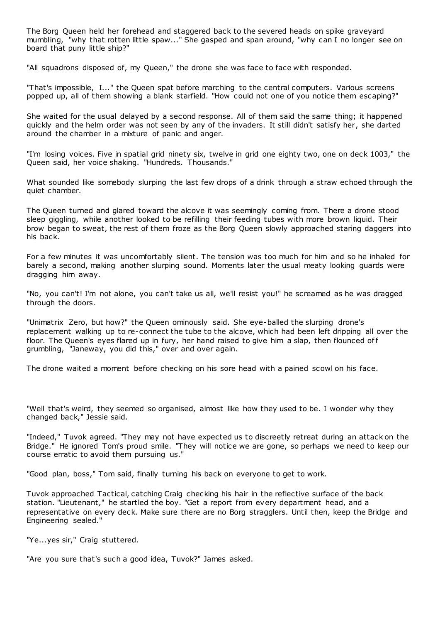The Borg Queen held her forehead and staggered back to the severed heads on spike graveyard mumbling, "why that rotten little spaw..." She gasped and span around, "why can I no longer see on board that puny little ship?"

"All squadrons disposed of, my Queen," the drone she was face to face with responded.

"That's impossible, I..." the Queen spat before marching to the central computers. Various screens popped up, all of them showing a blank starfield. "How could not one of you notice them escaping?"

She waited for the usual delayed by a second response. All of them said the same thing; it happened quickly and the helm order was not seen by any of the invaders. It still didn't satisfy her, she darted around the chamber in a mixture of panic and anger.

"I'm losing voices. Five in spatial grid ninety six, twelve in grid one eighty two, one on deck 1003," the Queen said, her voice shaking. "Hundreds. Thousands."

What sounded like somebody slurping the last few drops of a drink through a straw echoed through the quiet chamber.

The Queen turned and glared toward the alcove it was seemingly coming from. There a drone stood sleep giggling, while another looked to be refilling their feeding tubes with more brown liquid. Their brow began to sweat, the rest of them froze as the Borg Queen slowly approached staring daggers into his back.

For a few minutes it was uncomfortably silent. The tension was too much for him and so he inhaled for barely a second, making another slurping sound. Moments later the usual meaty looking guards were dragging him away.

"No, you can't! I'm not alone, you can't take us all, we'll resist you!" he screamed as he was dragged through the doors.

"Unimatrix Zero, but how?" the Queen ominously said. She eye-balled the slurping drone's replacement walking up to re-connect the tube to the alcove, which had been left dripping all over the floor. The Queen's eyes flared up in fury, her hand raised to give him a slap, then flounced off grumbling, "Janeway, you did this," over and over again.

The drone waited a moment before checking on his sore head with a pained scowl on his face.

"Well that's weird, they seemed so organised, almost like how they used to be. I wonder why they changed back," Jessie said.

"Indeed," Tuvok agreed. "They may not have expected us to discreetly retreat during an attack on the Bridge." He ignored Tom's proud smile. "They will notice we are gone, so perhaps we need to keep our course erratic to avoid them pursuing us."

"Good plan, boss," Tom said, finally turning his back on everyone to get to work.

Tuvok approached Tactical, catching Craig checking his hair in the reflective surface of the back station. "Lieutenant," he startled the boy. "Get a report from every department head, and a representative on every deck. Make sure there are no Borg stragglers. Until then, keep the Bridge and Engineering sealed."

"Ye...yes sir," Craig stuttered.

"Are you sure that's such a good idea, Tuvok?" James asked.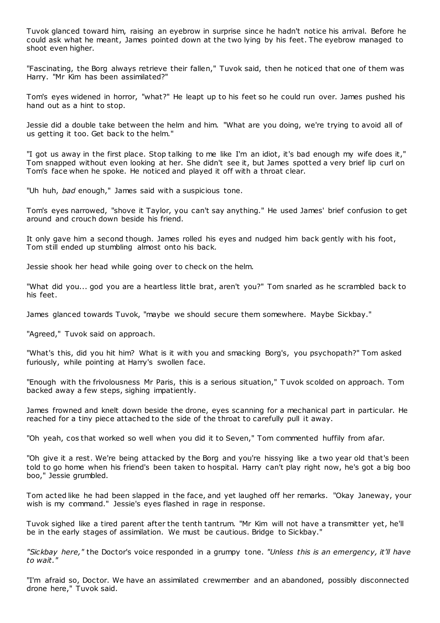Tuvok glanced toward him, raising an eyebrow in surprise since he hadn't notice his arrival. Before he could ask what he meant, James pointed down at the two lying by his feet. The eyebrow managed to shoot even higher.

"Fascinating, the Borg always retrieve their fallen," Tuvok said, then he noticed that one of them was Harry. "Mr Kim has been assimilated?"

Tom's eyes widened in horror, "what?" He leapt up to his feet so he could run over. James pushed his hand out as a hint to stop.

Jessie did a double take between the helm and him. "What are you doing, we're trying to avoid all of us getting it too. Get back to the helm."

"I got us away in the first place. Stop talking to me like I'm an idiot, it's bad enough my wife does it," Tom snapped without even looking at her. She didn't see it, but James spotted a very brief lip curl on Tom's face when he spoke. He noticed and played it off with a throat clear.

"Uh huh, *bad* enough," James said with a suspicious tone.

Tom's eyes narrowed, "shove it Taylor, you can't say anything." He used James' brief confusion to get around and crouch down beside his friend.

It only gave him a second though. James rolled his eyes and nudged him back gently with his foot, Tom still ended up stumbling almost onto his back.

Jessie shook her head while going over to check on the helm.

"What did you... god you are a heartless little brat, aren't you?" Tom snarled as he scrambled back to his feet.

James glanced towards Tuvok, "maybe we should secure them somewhere. Maybe Sickbay."

"Agreed," Tuvok said on approach.

"What's this, did you hit him? What is it with you and smacking Borg's, you psychopath?" Tom asked furiously, while pointing at Harry's swollen face.

"Enough with the frivolousness Mr Paris, this is a serious situation," T uvok scolded on approach. Tom backed away a few steps, sighing impatiently.

James frowned and knelt down beside the drone, eyes scanning for a mechanical part in particular. He reached for a tiny piece attached to the side of the throat to carefully pull it away.

"Oh yeah, cos that worked so well when you did it to Seven," Tom commented huffily from afar.

"Oh give it a rest. We're being attacked by the Borg and you're hissying like a two year old that's been told to go home when his friend's been taken to hospital. Harry can't play right now, he's got a big boo boo," Jessie grumbled.

Tom acted like he had been slapped in the face, and yet laughed off her remarks. "Okay Janeway, your wish is my command." Jessie's eyes flashed in rage in response.

Tuvok sighed like a tired parent after the tenth tantrum. "Mr Kim will not have a transmitter yet, he'll be in the early stages of assimilation. We must be cautious. Bridge to Sickbay."

*"Sickbay here,"* the Doctor's voice responded in a grumpy tone. *"Unless this is an emergency, it'll have to wait."*

"I'm afraid so, Doctor. We have an assimilated crewmember and an abandoned, possibly disconnected drone here," Tuvok said.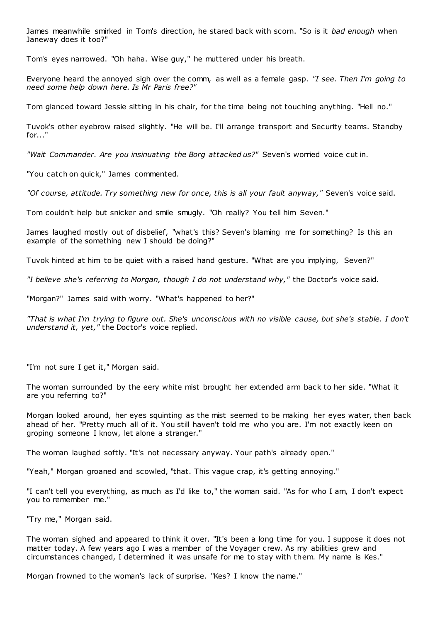James meanwhile smirked in Tom's direction, he stared back with scorn. "So is it *bad enough* when Janeway does it too?"

Tom's eyes narrowed. "Oh haha. Wise guy," he muttered under his breath.

Everyone heard the annoyed sigh over the comm, as well as a female gasp. *"I see. Then I'm going to need some help down here. Is Mr Paris free?"*

Tom glanced toward Jessie sitting in his chair, for the time being not touching anything. "Hell no."

Tuvok's other eyebrow raised slightly. "He will be. I'll arrange transport and Security teams. Standby for..."

*"Wait Commander. Are you insinuating the Borg attacked us?"* Seven's worried voice cut in.

"You catch on quick," James commented.

*"Of course, attitude. Try something new for once, this is all your fault anyway,"* Seven's voice said.

Tom couldn't help but snicker and smile smugly. "Oh really? You tell him Seven."

James laughed mostly out of disbelief, "what's this? Seven's blaming me for something? Is this an example of the something new I should be doing?"

Tuvok hinted at him to be quiet with a raised hand gesture. "What are you implying, Seven?"

*"I believe she's referring to Morgan, though I do not understand why,"* the Doctor's voice said.

"Morgan?" James said with worry. "What's happened to her?"

*"That is what I'm trying to figure out. She's unconscious with no visible cause, but she's stable. I don't understand it, yet,"* the Doctor's voice replied.

"I'm not sure I get it," Morgan said.

The woman surrounded by the eery white mist brought her extended arm back to her side. "What it are you referring to?"

Morgan looked around, her eyes squinting as the mist seemed to be making her eyes water, then back ahead of her. "Pretty much all of it. You still haven't told me who you are. I'm not exactly keen on groping someone I know, let alone a stranger."

The woman laughed softly. "It's not necessary anyway. Your path's already open."

"Yeah," Morgan groaned and scowled, "that. This vague crap, it's getting annoying."

"I can't tell you everything, as much as I'd like to," the woman said. "As for who I am, I don't expect you to remember me."

"Try me," Morgan said.

The woman sighed and appeared to think it over. "It's been a long time for you. I suppose it does not matter today. A few years ago I was a member of the Voyager crew. As my abilities grew and circumstances changed, I determined it was unsafe for me to stay with them. My name is Kes."

Morgan frowned to the woman's lack of surprise. "Kes? I know the name."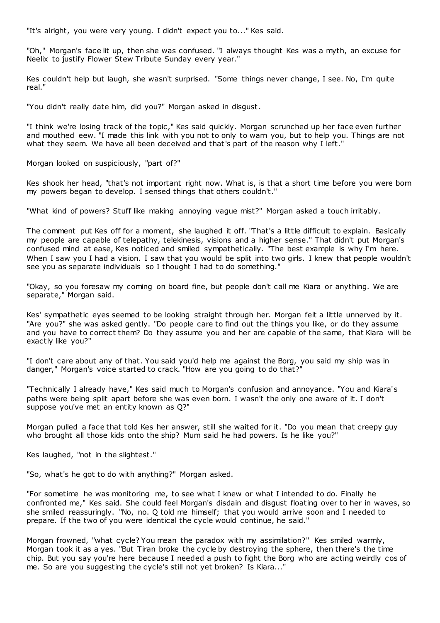"It's alright, you were very young. I didn't expect you to..." Kes said.

"Oh," Morgan's face lit up, then she was confused. "I always thought Kes was a myth, an excuse for Neelix to justify Flower Stew Tribute Sunday every year."

Kes couldn't help but laugh, she wasn't surprised. "Some things never change, I see. No, I'm quite real."

"You didn't really date him, did you?" Morgan asked in disgust.

"I think we're losing track of the topic ," Kes said quickly. Morgan scrunched up her face even further and mouthed eew. "I made this link with you not to only to warn you, but to help you. Things are not what they seem. We have all been deceived and that's part of the reason why I left."

Morgan looked on suspiciously, "part of?"

Kes shook her head, "that's not important right now. What is, is that a short time before you were born my powers began to develop. I sensed things that others couldn't."

"What kind of powers? Stuff like making annoying vague mist?" Morgan asked a touch irritably.

The comment put Kes off for a moment, she laughed it off. "That's a little difficult to explain. Basically my people are capable of telepathy, telekinesis, visions and a higher sense." That didn't put Morgan's confused mind at ease, Kes noticed and smiled sympathetically. "The best example is why I'm here. When I saw you I had a vision. I saw that you would be split into two girls. I knew that people wouldn't see you as separate individuals so I thought I had to do something."

"Okay, so you foresaw my coming on board fine, but people don't call me Kiara or anything. We are separate," Morgan said.

Kes' sympathetic eyes seemed to be looking straight through her. Morgan felt a little unnerved by it. "Are you?" she was asked gently. "Do people care to find out the things you like, or do they assume and you have to correct them? Do they assume you and her are capable of the same, that Kiara will be exactly like you?"

"I don't care about any of that. You said you'd help me against the Borg, you said my ship was in danger," Morgan's voice started to crack. "How are you going to do that?"

"Technically I already have," Kes said much to Morgan's confusion and annoyance. "You and Kiara's paths were being split apart before she was even born. I wasn't the only one aware of it. I don't suppose you've met an entity known as Q?"

Morgan pulled a face that told Kes her answer, still she waited for it. "Do you mean that creepy guy who brought all those kids onto the ship? Mum said he had powers. Is he like you?"

Kes laughed, "not in the slightest."

"So, what's he got to do with anything?" Morgan asked.

"For sometime he was monitoring me, to see what I knew or what I intended to do. Finally he confronted me," Kes said. She could feel Morgan's disdain and disgust floating over to her in waves, so she smiled reassuringly. "No, no. Q told me himself; that you would arrive soon and I needed to prepare. If the two of you were identical the cycle would continue, he said."

Morgan frowned, "what cycle? You mean the paradox with my assimilation?" Kes smiled warmly, Morgan took it as a yes. "But Tiran broke the cycle by destroying the sphere, then there's the time chip. But you say you're here because I needed a push to fight the Borg who are acting weirdly cos of me. So are you suggesting the cycle's still not yet broken? Is Kiara..."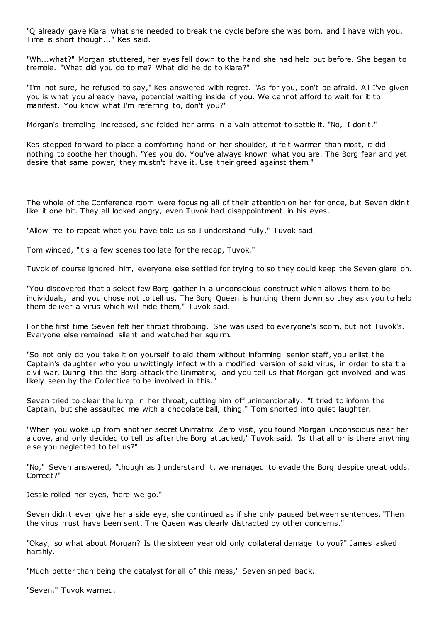"Q already gave Kiara what she needed to break the cycle before she was born, and I have with you. Time is short though..." Kes said.

"Wh...what?" Morgan stuttered, her eyes fell down to the hand she had held out before. She began to tremble. "What did you do to me? What did he do to Kiara?"

"I'm not sure, he refused to say," Kes answered with regret. "As for you, don't be afraid. All I've given you is what you already have, potential waiting inside of you. We cannot afford to wait for it to manifest. You know what I'm referring to, don't you?"

Morgan's trembling increased, she folded her arms in a vain attempt to settle it. "No, I don't."

Kes stepped forward to place a comforting hand on her shoulder, it felt warmer than most, it did nothing to soothe her though. "Yes you do. You've always known what you are. The Borg fear and yet desire that same power, they mustn't have it. Use their greed against them."

The whole of the Conference room were focusing all of their attention on her for once, but Seven didn't like it one bit. They all looked angry, even Tuvok had disappointment in his eyes.

"Allow me to repeat what you have told us so I understand fully," Tuvok said.

Tom winced, "it's a few scenes too late for the recap, Tuvok."

Tuvok of course ignored him, everyone else settled for trying to so they could keep the Seven glare on.

"You discovered that a select few Borg gather in a unconscious construct which allows them to be individuals, and you chose not to tell us. The Borg Queen is hunting them down so they ask you to help them deliver a virus which will hide them," Tuvok said.

For the first time Seven felt her throat throbbing. She was used to everyone's scorn, but not Tuvok's. Everyone else remained silent and watched her squirm.

"So not only do you take it on yourself to aid them without informing senior staff, you enlist the Captain's daughter who you unwittingly infect with a modified version of said virus, in order to start a civil war. During this the Borg attack the Unimatrix, and you tell us that Morgan got involved and was likely seen by the Collective to be involved in this.'

Seven tried to clear the lump in her throat, cutting him off unintentionally. "I tried to inform the Captain, but she assaulted me with a chocolate ball, thing." Tom snorted into quiet laughter.

"When you woke up from another secret Unimatrix Zero visit, you found Morgan unconscious near her alcove, and only decided to tell us after the Borg attacked," Tuvok said. "Is that all or is there anything else you neglected to tell us?"

"No," Seven answered, "though as I understand it, we managed to evade the Borg despite great odds. Correct?"

Jessie rolled her eyes, "here we go."

Seven didn't even give her a side eye, she continued as if she only paused between sentences. "Then the virus must have been sent. The Queen was clearly distracted by other concerns."

"Okay, so what about Morgan? Is the sixteen year old only collateral damage to you?" James asked harshly.

"Much better than being the catalyst for all of this mess," Seven sniped back.

"Seven," Tuvok warned.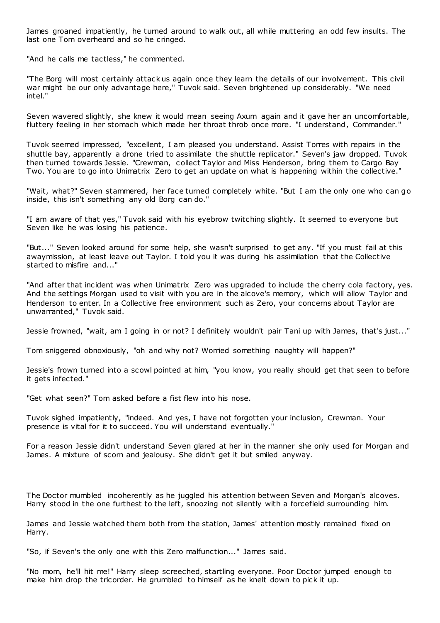James groaned impatiently, he turned around to walk out, all while muttering an odd few insults. The last one Tom overheard and so he cringed.

"And he calls me tactless," he commented.

"The Borg will most certainly attack us again once they learn the details of our involvement. This civil war might be our only advantage here," Tuvok said. Seven brightened up considerably. "We need intel."

Seven wavered slightly, she knew it would mean seeing Axum again and it gave her an uncomfortable, fluttery feeling in her stomach which made her throat throb once more. "I understand, Commander."

Tuvok seemed impressed, "excellent, I am pleased you understand. Assist Torres with repairs in the shuttle bay, apparently a drone tried to assimilate the shuttle replicator." Seven's jaw dropped. Tuvok then turned towards Jessie. "Crewman, collect Taylor and Miss Henderson, bring them to Cargo Bay Two. You are to go into Unimatrix Zero to get an update on what is happening within the collective."

"Wait, what?" Seven stammered, her face turned completely white. "But I am the only one who can go inside, this isn't something any old Borg can do."

"I am aware of that yes," Tuvok said with his eyebrow twitching slightly. It seemed to everyone but Seven like he was losing his patience.

"But..." Seven looked around for some help, she wasn't surprised to get any. "If you must fail at this awaymission, at least leave out Taylor. I told you it was during his assimilation that the Collective started to misfire and..."

"And after that incident was when Unimatrix Zero was upgraded to include the cherry cola factory, yes. And the settings Morgan used to visit with you are in the alcove's memory, which will allow Taylor and Henderson to enter. In a Collective free environment such as Zero, your concerns about Taylor are unwarranted," Tuvok said.

Jessie frowned, "wait, am I going in or not? I definitely wouldn't pair Tani up with James, that's just..."

Tom sniggered obnoxiously, "oh and why not? Worried something naughty will happen?"

Jessie's frown turned into a scowl pointed at him, "you know, you really should get that seen to before it gets infected."

"Get what seen?" Tom asked before a fist flew into his nose.

Tuvok sighed impatiently, "indeed. And yes, I have not forgotten your inclusion, Crewman. Your presence is vital for it to succeed. You will understand eventually."

For a reason Jessie didn't understand Seven glared at her in the manner she only used for Morgan and James. A mixture of scorn and jealousy. She didn't get it but smiled anyway.

The Doctor mumbled incoherently as he juggled his attention between Seven and Morgan's alcoves. Harry stood in the one furthest to the left, snoozing not silently with a forcefield surrounding him.

James and Jessie watched them both from the station, James' attention mostly remained fixed on Harry.

"So, if Seven's the only one with this Zero malfunction..." James said.

"No mom, he'll hit me!" Harry sleep screeched, startling everyone. Poor Doctor jumped enough to make him drop the tricorder. He grumbled to himself as he knelt down to pick it up.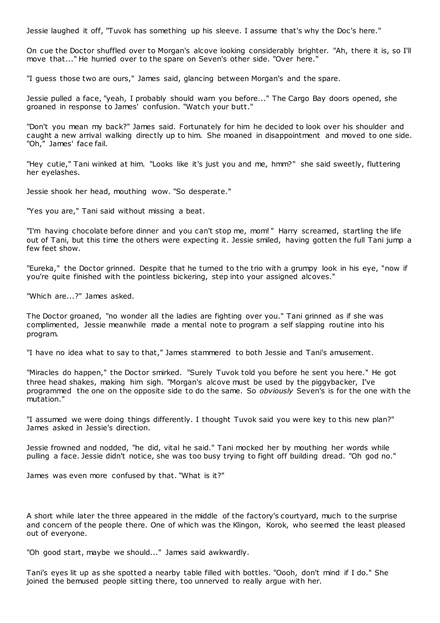Jessie laughed it off, "Tuvok has something up his sleeve. I assume that's why the Doc's here."

On cue the Doctor shuffled over to Morgan's alcove looking considerably brighter. "Ah, there it is, so I'll move that..." He hurried over to the spare on Seven's other side. "Over here."

"I guess those two are ours," James said, glancing between Morgan's and the spare.

Jessie pulled a face, "yeah, I probably should warn you before..." The Cargo Bay doors opened, she groaned in response to James' confusion. "Watch your butt."

"Don't you mean my back?" James said. Fortunately for him he decided to look over his shoulder and caught a new arrival walking directly up to him. She moaned in disappointment and moved to one side. "Oh," James' face fail.

"Hey cutie," Tani winked at him. "Looks like it's just you and me, hmm?" she said sweetly, fluttering her eyelashes.

Jessie shook her head, mouthing wow. "So desperate."

"Yes you are," Tani said without missing a beat.

"I'm having chocolate before dinner and you can't stop me, mom! " Harry screamed, startling the life out of Tani, but this time the others were expecting it. Jessie smiled, having gotten the full Tani jump a few feet show.

"Eureka," the Doctor grinned. Despite that he turned to the trio with a grumpy look in his eye, "now if you're quite finished with the pointless bickering, step into your assigned alcoves."

"Which are...?" James asked.

The Doctor groaned, "no wonder all the ladies are fighting over you." Tani grinned as if she was complimented, Jessie meanwhile made a mental note to program a self slapping routine into his program.

"I have no idea what to say to that," James stammered to both Jessie and Tani's amusement.

"Miracles do happen," the Doctor smirked. "Surely Tuvok told you before he sent you here." He got three head shakes, making him sigh. "Morgan's alcove must be used by the piggybacker, I've programmed the one on the opposite side to do the same. So *obviously* Seven's is for the one with the mutation."

"I assumed we were doing things differently. I thought Tuvok said you were key to this new plan?" James asked in Jessie's direction.

Jessie frowned and nodded, "he did, vital he said." Tani mocked her by mouthing her words while pulling a face. Jessie didn't notice, she was too busy trying to fight off building dread. "Oh god no."

James was even more confused by that. "What is it?"

A short while later the three appeared in the middle of the factory's courtyard, much to the surprise and concern of the people there. One of which was the Klingon, Korok, who seemed the least pleased out of everyone.

"Oh good start, maybe we should..." James said awkwardly.

Tani's eyes lit up as she spotted a nearby table filled with bottles. "Oooh, don't mind if I do." She joined the bemused people sitting there, too unnerved to really argue with her.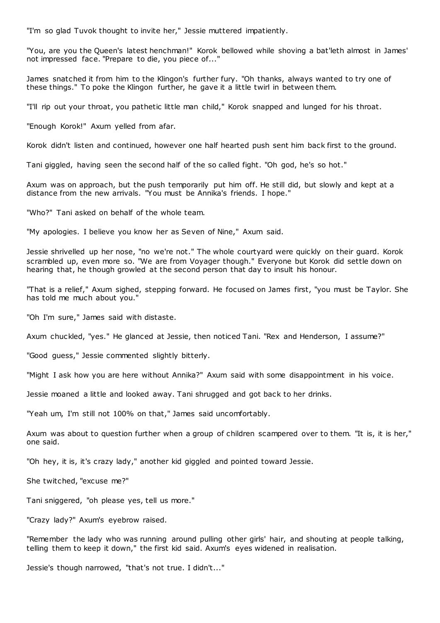"I'm so glad Tuvok thought to invite her," Jessie muttered impatiently.

"You, are you the Queen's latest henchman!" Korok bellowed while shoving a bat'leth almost in James' not impressed face. "Prepare to die, you piece of..."

James snatched it from him to the Klingon's further fury. "Oh thanks, always wanted to try one of these things." To poke the Klingon further, he gave it a little twirl in between them.

"I'll rip out your throat, you pathetic little man child," Korok snapped and lunged for his throat.

"Enough Korok!" Axum yelled from afar.

Korok didn't listen and continued, however one half hearted push sent him back first to the ground.

Tani giggled, having seen the second half of the so called fight. "Oh god, he's so hot."

Axum was on approach, but the push temporarily put him off. He still did, but slowly and kept at a distance from the new arrivals. "You must be Annika's friends. I hope."

"Who?" Tani asked on behalf of the whole team.

"My apologies. I believe you know her as Seven of Nine," Axum said.

Jessie shrivelled up her nose, "no we're not." The whole courtyard were quickly on their guard. Korok scrambled up, even more so. "We are from Voyager though." Everyone but Korok did settle down on hearing that, he though growled at the second person that day to insult his honour.

"That is a relief," Axum sighed, stepping forward. He focused on James first, "you must be Taylor. She has told me much about you."

"Oh I'm sure," James said with distaste.

Axum chuckled, "yes." He glanced at Jessie, then noticed Tani. "Rex and Henderson, I assume?"

"Good guess," Jessie commented slightly bitterly.

"Might I ask how you are here without Annika?" Axum said with some disappointment in his voice.

Jessie moaned a little and looked away. Tani shrugged and got back to her drinks.

"Yeah um, I'm still not 100% on that," James said uncomfortably.

Axum was about to question further when a group of children scampered over to them. "It is, it is her," one said.

"Oh hey, it is, it's crazy lady," another kid giggled and pointed toward Jessie.

She twitched, "excuse me?"

Tani sniggered, "oh please yes, tell us more."

"Crazy lady?" Axum's eyebrow raised.

"Remember the lady who was running around pulling other girls' hair, and shouting at people talking, telling them to keep it down," the first kid said. Axum's eyes widened in realisation.

Jessie's though narrowed, "that's not true. I didn't..."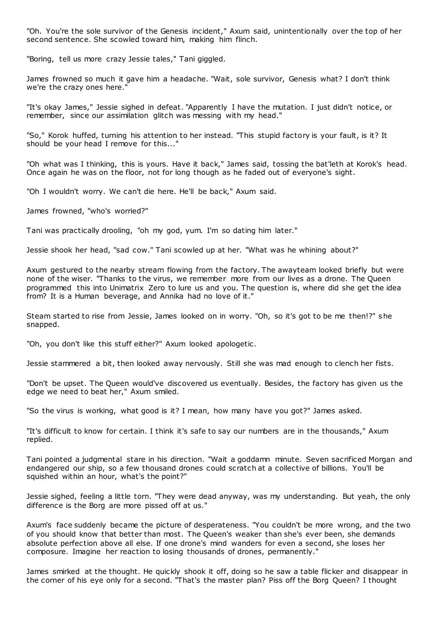"Oh. You're the sole survivor of the Genesis incident," Axum said, unintentionally over the top of her second sentence. She scowled toward him, making him flinch.

"Boring, tell us more crazy Jessie tales," Tani giggled.

James frowned so much it gave him a headache. "Wait, sole survivor, Genesis what? I don't think we're the crazy ones here."

"It's okay James," Jessie sighed in defeat. "Apparently I have the mutation. I just didn't notice, or remember, since our assimilation glitch was messing with my head."

"So," Korok huffed, turning his attention to her instead. "This stupid factory is your fault, is it? It should be your head I remove for this..."

"Oh what was I thinking, this is yours. Have it back," James said, tossing the bat'leth at Korok's head. Once again he was on the floor, not for long though as he faded out of everyone's sight.

"Oh I wouldn't worry. We can't die here. He'll be back," Axum said.

James frowned, "who's worried?"

Tani was practically drooling, "oh my god, yum. I'm so dating him later."

Jessie shook her head, "sad cow." Tani scowled up at her. "What was he whining about?"

Axum gestured to the nearby stream flowing from the factory. The awayteam looked briefly but were none of the wiser. "Thanks to the virus, we remember more from our lives as a drone. The Queen programmed this into Unimatrix Zero to lure us and you. The question is, where did she get the idea from? It is a Human beverage, and Annika had no love of it."

Steam started to rise from Jessie, James looked on in worry. "Oh, so it's got to be me then!?" she snapped.

"Oh, you don't like this stuff either?" Axum looked apologetic .

Jessie stammered a bit, then looked away nervously. Still she was mad enough to clench her fists.

"Don't be upset. The Queen would've discovered us eventually. Besides, the factory has given us the edge we need to beat her," Axum smiled.

"So the virus is working, what good is it? I mean, how many have you got?" James asked.

"It's difficult to know for certain. I think it's safe to say our numbers are in the thousands," Axum replied.

Tani pointed a judgmental stare in his direction. "Wait a goddamn minute. Seven sacrificed Morgan and endangered our ship, so a few thousand drones could scratch at a collective of billions. You'll be squished within an hour, what's the point?"

Jessie sighed, feeling a little torn. "They were dead anyway, was my understanding. But yeah, the only difference is the Borg are more pissed off at us."

Axum's face suddenly became the picture of desperateness. "You couldn't be more wrong, and the two of you should know that better than most. The Queen's weaker than she's ever been, she demands absolute perfection above all else. If one drone's mind wanders for even a second, she loses her composure. Imagine her reaction to losing thousands of drones, permanently."

James smirked at the thought. He quickly shook it off, doing so he saw a table flicker and disappear in the corner of his eye only for a second. "That's the master plan? Piss off the Borg Queen? I thought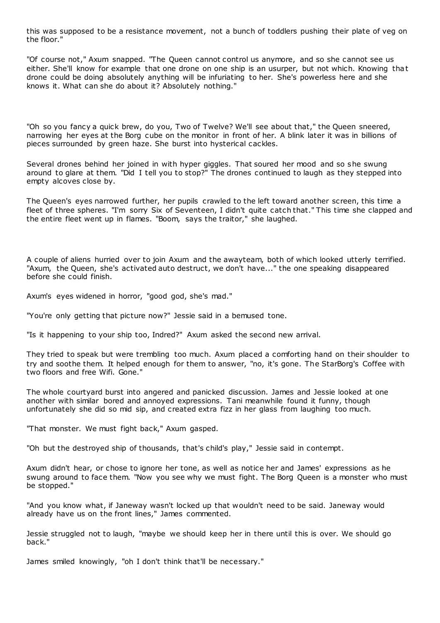this was supposed to be a resistance movement, not a bunch of toddlers pushing their plate of veg on the floor."

"Of course not," Axum snapped. "The Queen cannot control us anymore, and so she cannot see us either. She'll know for example that one drone on one ship is an usurper, but not which. Knowing that drone could be doing absolutely anything will be infuriating to her. She's powerless here and she knows it. What can she do about it? Absolutely nothing."

"Oh so you fancy a quick brew, do you, Two of Twelve? We'll see about that," the Queen sneered, narrowing her eyes at the Borg cube on the monitor in front of her. A blink later it was in billions of pieces surrounded by green haze. She burst into hysterical cackles.

Several drones behind her joined in with hyper giggles. That soured her mood and so she swung around to glare at them. "Did I tell you to stop?" The drones continued to laugh as they stepped into empty alcoves close by.

The Queen's eyes narrowed further, her pupils crawled to the left toward another screen, this time a fleet of three spheres. "I'm sorry Six of Seventeen, I didn't quite catch that." This time she clapped and the entire fleet went up in flames. "Boom, says the traitor," she laughed.

A couple of aliens hurried over to join Axum and the awayteam, both of which looked utterly terrified. "Axum, the Queen, she's activated auto destruct, we don't have..." the one speaking disappeared before she could finish.

Axum's eyes widened in horror, "good god, she's mad."

"You're only getting that picture now?" Jessie said in a bemused tone.

"Is it happening to your ship too, Indred?" Axum asked the second new arrival.

They tried to speak but were trembling too much. Axum placed a comforting hand on their shoulder to try and soothe them. It helped enough for them to answer, "no, it's gone. The StarBorg's Coffee with two floors and free Wifi. Gone."

The whole courtyard burst into angered and panicked discussion. James and Jessie looked at one another with similar bored and annoyed expressions. Tani meanwhile found it funny, though unfortunately she did so mid sip, and created extra fizz in her glass from laughing too much.

"That monster. We must fight back," Axum gasped.

"Oh but the destroyed ship of thousands, that's child's play," Jessie said in contempt.

Axum didn't hear, or chose to ignore her tone, as well as notice her and James' expressions as he swung around to face them. "Now you see why we must fight. The Borg Queen is a monster who must be stopped."

"And you know what, if Janeway wasn't locked up that wouldn't need to be said. Janeway would already have us on the front lines," James commented.

Jessie struggled not to laugh, "maybe we should keep her in there until this is over. We should go back."

James smiled knowingly, "oh I don't think that'll be necessary."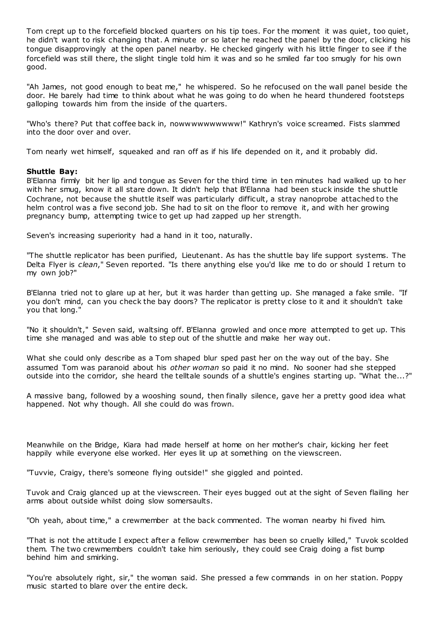Tom crept up to the forcefield blocked quarters on his tip toes. For the moment it was quiet, too quiet, he didn't want to risk changing that. A minute or so later he reached the panel by the door, clicking his tongue disapprovingly at the open panel nearby. He checked gingerly with his little finger to see if the forcefield was still there, the slight tingle told him it was and so he smiled far too smugly for his own good.

"Ah James, not good enough to beat me," he whispered. So he refocused on the wall panel beside the door. He barely had time to think about what he was going to do when he heard thundered footsteps galloping towards him from the inside of the quarters.

"Who's there? Put that coffee back in, nowwwwwwwwww!" Kathryn's voice screamed. Fists slammed into the door over and over.

Tom nearly wet himself, squeaked and ran off as if his life depended on it, and it probably did.

# **Shuttle Bay:**

B'Elanna firmly bit her lip and tongue as Seven for the third time in ten minutes had walked up to her with her smug, know it all stare down. It didn't help that B'Elanna had been stuck inside the shuttle Cochrane, not because the shuttle itself was particularly difficult, a stray nanoprobe attached to the helm control was a five second job. She had to sit on the floor to remove it, and with her growing pregnancy bump, attempting twice to get up had zapped up her strength.

Seven's increasing superiority had a hand in it too, naturally.

"The shuttle replicator has been purified, Lieutenant. As has the shuttle bay life support systems. The Delta Flyer is *clean*," Seven reported. "Is there anything else you'd like me to do or should I return to my own job?"

B'Elanna tried not to glare up at her, but it was harder than getting up. She managed a fake smile. "If you don't mind, can you check the bay doors? The replicator is pretty close to it and it shouldn't take you that long."

"No it shouldn't," Seven said, waltsing off. B'Elanna growled and once more attempted to get up. This time she managed and was able to step out of the shuttle and make her way out.

What she could only describe as a Tom shaped blur sped past her on the way out of the bay. She assumed Tom was paranoid about his *other woman* so paid it no mind. No sooner had she stepped outside into the corridor, she heard the telltale sounds of a shuttle's engines starting up. "What the...?"

A massive bang, followed by a wooshing sound, then finally silence, gave her a pretty good idea what happened. Not why though. All she could do was frown.

Meanwhile on the Bridge, Kiara had made herself at home on her mother's chair, kicking her feet happily while everyone else worked. Her eyes lit up at something on the viewscreen.

"Tuvvie, Craigy, there's someone flying outside!" she giggled and pointed.

Tuvok and Craig glanced up at the viewscreen. Their eyes bugged out at the sight of Seven flailing her arms about outside whilst doing slow somersaults.

"Oh yeah, about time," a crewmember at the back commented. The woman nearby hi fived him.

"That is not the attitude I expect after a fellow crewmember has been so cruelly killed," Tuvok scolded them. The two crewmembers couldn't take him seriously, they could see Craig doing a fist bump behind him and smirking.

"You're absolutely right, sir," the woman said. She pressed a few commands in on her station. Poppy music started to blare over the entire deck.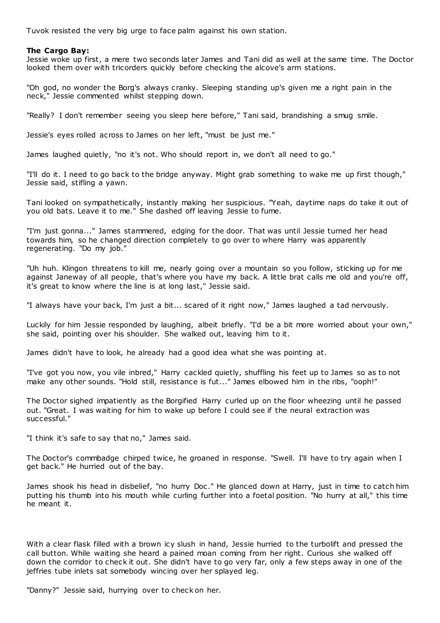Tuvok resisted the very big urge to face palm against his own station.

# **The Cargo Bay:**

Jessie woke up first, a mere two seconds later James and Tani did as well at the same time. The Doctor looked them over with tricorders quickly before checking the alcove's arm stations.

"Oh god, no wonder the Borg's always cranky. Sleeping standing up's given me a right pain in the neck," Jessie commented whilst stepping down.

"Really? I don't remember seeing you sleep here before," Tani said, brandishing a smug smile.

Jessie's eyes rolled across to James on her left, "must be just me."

James laughed quietly, "no it's not. Who should report in, we don't all need to go."

"I'll do it. I need to go back to the bridge anyway. Might grab something to wake me up first though," Jessie said, stifling a yawn.

Tani looked on sympathetically, instantly making her suspicious. "Yeah, daytime naps do take it out of you old bats. Leave it to me." She dashed off leaving Jessie to fume.

"I'm just gonna..." James stammered, edging for the door. That was until Jessie turned her head towards him, so he changed direction completely to go over to where Harry was apparently regenerating. "Do my job."

"Uh huh. Klingon threatens to kill me, nearly going over a mountain so you follow, sticking up for me against Janeway of all people, that's where you have my back. A little brat calls me old and you're off, it's great to know where the line is at long last," Jessie said.

"I always have your back, I'm just a bit... scared of it right now," James laughed a tad nervously.

Luckily for him Jessie responded by laughing, albeit briefly. "I'd be a bit more worried about your own," she said, pointing over his shoulder. She walked out, leaving him to it.

James didn't have to look, he already had a good idea what she was pointing at.

"I've got you now, you vile inbred," Harry cackled quietly, shuffling his feet up to James so as to not make any other sounds. "Hold still, resistance is fut..." James elbowed him in the ribs, "ooph!"

The Doctor sighed impatiently as the Borgified Harry curled up on the floor wheezing until he passed out. "Great. I was waiting for him to wake up before I could see if the neural extraction was successful."

"I think it's safe to say that no," James said.

The Doctor's commbadge chirped twice, he groaned in response. "Swell. I'll have to try again when I get back." He hurried out of the bay.

James shook his head in disbelief, "no hurry Doc ." He glanced down at Harry, just in time to catch him putting his thumb into his mouth while curling further into a foetal position. "No hurry at all," this time he meant it.

With a clear flask filled with a brown icy slush in hand, Jessie hurried to the turbolift and pressed the call button. While waiting she heard a pained moan coming from her right. Curious she walked off down the corridor to check it out. She didn't have to go very far, only a few steps away in one of the jeffries tube inlets sat somebody wincing over her splayed leg.

"Danny?" Jessie said, hurrying over to check on her.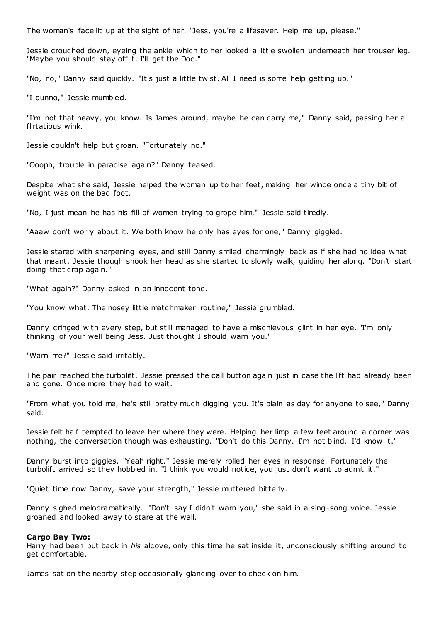The woman's face lit up at the sight of her. "Jess, you're a lifesaver. Help me up, please."

Jessie crouched down, eyeing the ankle which to her looked a little swollen underneath her trouser leg. "Maybe you should stay off it. I'll get the Doc."

"No, no," Danny said quickly. "It's just a little twist. All I need is some help getting up."

"I dunno," Jessie mumbled.

"I'm not that heavy, you know. Is James around, maybe he can carry me," Danny said, passing her a flirtatious wink.

Jessie couldn't help but groan. "Fortunately no."

"Oooph, trouble in paradise again?" Danny teased.

Despite what she said, Jessie helped the woman up to her feet, making her wince once a tiny bit of weight was on the bad foot.

"No, I just mean he has his fill of women trying to grope him," Jessie said tiredly.

"Aaaw don't worry about it. We both know he only has eyes for one," Danny giggled.

Jessie stared with sharpening eyes, and still Danny smiled charmingly back as if she had no idea what that meant. Jessie though shook her head as she started to slowly walk, guiding her along. "Don't start doing that crap again."

"What again?" Danny asked in an innocent tone.

"You know what. The nosey little matchmaker routine," Jessie grumbled.

Danny cringed with every step, but still managed to have a mischievous glint in her eye. "I'm only thinking of your well being Jess. Just thought I should warn you."

"Warn me?" Jessie said irritably.

The pair reached the turbolift. Jessie pressed the call button again just in case the lift had already been and gone. Once more they had to wait.

"From what you told me, he's still pretty much digging you. It's plain as day for anyone to see," Danny said.

Jessie felt half tempted to leave her where they were. Helping her limp a few feet around a corner was nothing, the conversation though was exhausting. "Don't do this Danny. I'm not blind, I'd know it."

Danny burst into giggles. "Yeah right." Jessie merely rolled her eyes in response. Fortunately the turbolift arrived so they hobbled in. "I think you would notice, you just don't want to admit it."

"Quiet time now Danny, save your strength," Jessie muttered bitterly.

Danny sighed melodramatically. "Don't say I didn't warn you," she said in a sing-song voice. Jessie groaned and looked away to stare at the wall.

# **Cargo Bay Two:**

Harry had been put back in *his* alcove, only this time he sat inside it, unconsciously shifting around to get comfortable.

James sat on the nearby step occasionally glancing over to check on him.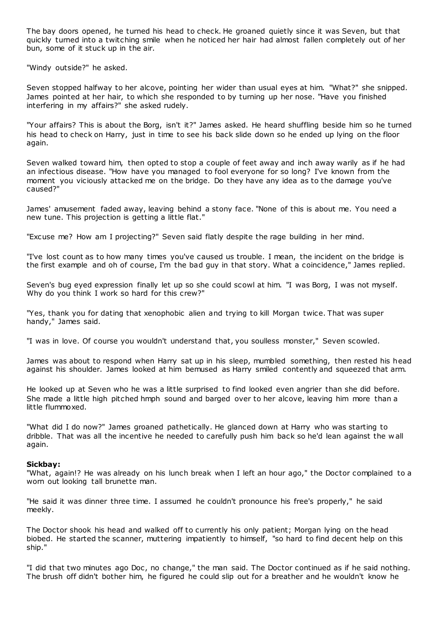The bay doors opened, he turned his head to check. He groaned quietly since it was Seven, but that quickly turned into a twitching smile when he noticed her hair had almost fallen completely out of her bun, some of it stuck up in the air.

"Windy outside?" he asked.

Seven stopped halfway to her alcove, pointing her wider than usual eyes at him. "What?" she snipped. James pointed at her hair, to which she responded to by turning up her nose. "Have you finished interfering in my affairs?" she asked rudely.

"Your affairs? This is about the Borg, isn't it?" James asked. He heard shuffling beside him so he turned his head to check on Harry, just in time to see his back slide down so he ended up lying on the floor again.

Seven walked toward him, then opted to stop a couple of feet away and inch away warily as if he had an infectious disease. "How have you managed to fool everyone for so long? I've known from the moment you viciously attacked me on the bridge. Do they have any idea as to the damage you've caused?"

James' amusement faded away, leaving behind a stony face. "None of this is about me. You need a new tune. This projection is getting a little flat."

"Excuse me? How am I projecting?" Seven said flatly despite the rage building in her mind.

"I've lost count as to how many times you've caused us trouble. I mean, the incident on the bridge is the first example and oh of course, I'm the bad guy in that story. What a coincidence," James replied.

Seven's bug eyed expression finally let up so she could scowl at him. "I was Borg, I was not myself. Why do you think I work so hard for this crew?"

"Yes, thank you for dating that xenophobic alien and trying to kill Morgan twice. That was super handy," James said.

"I was in love. Of course you wouldn't understand that, you soulless monster," Seven scowled.

James was about to respond when Harry sat up in his sleep, mumbled something, then rested his head against his shoulder. James looked at him bemused as Harry smiled contently and squeezed that arm.

He looked up at Seven who he was a little surprised to find looked even angrier than she did before. She made a little high pitched hmph sound and barged over to her alcove, leaving him more than a little flummoxed.

"What did I do now?" James groaned pathetically. He glanced down at Harry who was starting to dribble. That was all the incentive he needed to carefully push him back so he'd lean against the w all again.

#### **Sickbay:**

"What, again!? He was already on his lunch break when I left an hour ago," the Doctor complained to a worn out looking tall brunette man.

"He said it was dinner three time. I assumed he couldn't pronounce his free's properly," he said meekly.

The Doctor shook his head and walked off to currently his only patient; Morgan lying on the head biobed. He started the scanner, muttering impatiently to himself, "so hard to find decent help on this ship."

"I did that two minutes ago Doc, no change," the man said. The Doctor continued as if he said nothing. The brush off didn't bother him, he figured he could slip out for a breather and he wouldn't know he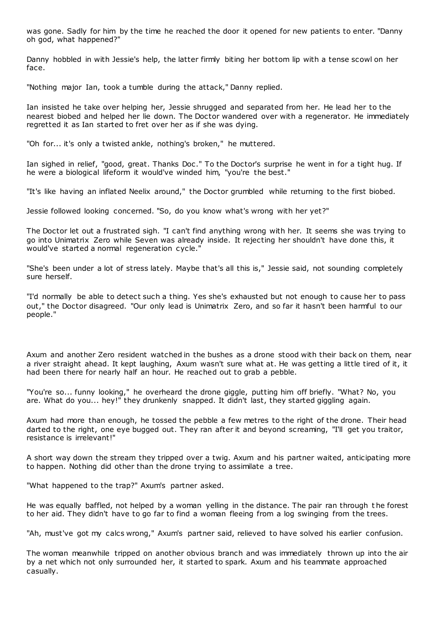was gone. Sadly for him by the time he reached the door it opened for new patients to enter. "Danny oh god, what happened?"

Danny hobbled in with Jessie's help, the latter firmly biting her bottom lip with a tense scowl on her face.

"Nothing major Ian, took a tumble during the attack," Danny replied.

Ian insisted he take over helping her, Jessie shrugged and separated from her. He lead her to the nearest biobed and helped her lie down. The Doctor wandered over with a regenerator. He immediately regretted it as Ian started to fret over her as if she was dying.

"Oh for... it's only a twisted ankle, nothing's broken," he muttered.

Ian sighed in relief, "good, great. Thanks Doc ." To the Doctor's surprise he went in for a tight hug. If he were a biological lifeform it would've winded him, "you're the best."

"It's like having an inflated Neelix around," the Doctor grumbled while returning to the first biobed.

Jessie followed looking concerned. "So, do you know what's wrong with her yet?"

The Doctor let out a frustrated sigh. "I can't find anything wrong with her. It seems she was trying to go into Unimatrix Zero while Seven was already inside. It rejecting her shouldn't have done this, it would've started a normal regeneration cycle."

"She's been under a lot of stress lately. Maybe that's all this is," Jessie said, not sounding completely sure herself.

"I'd normally be able to detect such a thing. Yes she's exhausted but not enough to cause her to pass out," the Doctor disagreed. "Our only lead is Unimatrix Zero, and so far it hasn't been harmful to our people."

Axum and another Zero resident watched in the bushes as a drone stood with their back on them, near a river straight ahead. It kept laughing, Axum wasn't sure what at. He was getting a little tired of it, it had been there for nearly half an hour. He reached out to grab a pebble.

"You're so... funny looking," he overheard the drone giggle, putting him off briefly. "What? No, you are. What do you... hey!" they drunkenly snapped. It didn't last, they started giggling again.

Axum had more than enough, he tossed the pebble a few metres to the right of the drone. Their head darted to the right, one eye bugged out. They ran after it and beyond screaming, "I'll get you traitor, resistance is irrelevant!"

A short way down the stream they tripped over a twig. Axum and his partner waited, anticipating more to happen. Nothing did other than the drone trying to assimilate a tree.

"What happened to the trap?" Axum's partner asked.

He was equally baffled, not helped by a woman yelling in the distance. The pair ran through t he forest to her aid. They didn't have to go far to find a woman fleeing from a log swinging from the trees.

"Ah, must've got my calcs wrong," Axum's partner said, relieved to have solved his earlier confusion.

The woman meanwhile tripped on another obvious branch and was immediately thrown up into the air by a net which not only surrounded her, it started to spark. Axum and his teammate approached casually.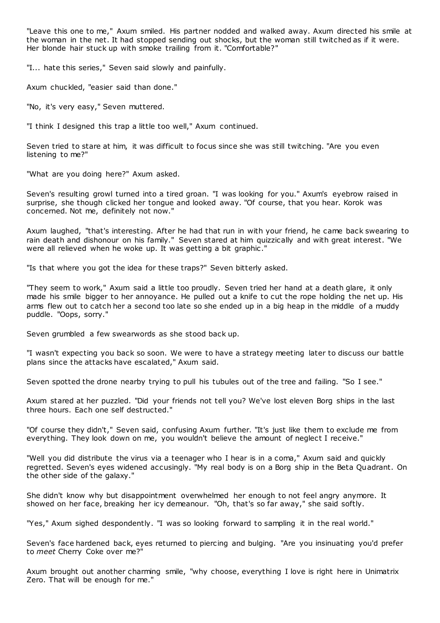"Leave this one to me," Axum smiled. His partner nodded and walked away. Axum directed his smile at the woman in the net. It had stopped sending out shocks, but the woman still twitched as if it were. Her blonde hair stuck up with smoke trailing from it. "Comfortable?"

"I... hate this series," Seven said slowly and painfully.

Axum chuckled, "easier said than done."

"No, it's very easy," Seven muttered.

"I think I designed this trap a little too well," Axum continued.

Seven tried to stare at him, it was difficult to focus since she was still twitching. "Are you even listening to me?"

"What are you doing here?" Axum asked.

Seven's resulting growl turned into a tired groan. "I was looking for you." Axum's eyebrow raised in surprise, she though clicked her tongue and looked away. "Of course, that you hear. Korok was concerned. Not me, definitely not now."

Axum laughed, "that's interesting. After he had that run in with your friend, he came back swearing to rain death and dishonour on his family." Seven stared at him quizzically and with great interest. "We were all relieved when he woke up. It was getting a bit graphic."

"Is that where you got the idea for these traps?" Seven bitterly asked.

"They seem to work," Axum said a little too proudly. Seven tried her hand at a death glare, it only made his smile bigger to her annoyance. He pulled out a knife to cut the rope holding the net up. His arms flew out to catch her a second too late so she ended up in a big heap in the middle of a muddy puddle. "Oops, sorry."

Seven grumbled a few swearwords as she stood back up.

"I wasn't expecting you back so soon. We were to have a strategy meeting later to discuss our battle plans since the attacks have escalated," Axum said.

Seven spotted the drone nearby trying to pull his tubules out of the tree and failing. "So I see."

Axum stared at her puzzled. "Did your friends not tell you? We've lost eleven Borg ships in the last three hours. Each one self destructed."

"Of course they didn't," Seven said, confusing Axum further. "It's just like them to exclude me from everything. They look down on me, you wouldn't believe the amount of neglect I receive."

"Well you did distribute the virus via a teenager who I hear is in a coma," Axum said and quickly regretted. Seven's eyes widened accusingly. "My real body is on a Borg ship in the Beta Quadrant. On the other side of the galaxy."

She didn't know why but disappointment overwhelmed her enough to not feel angry anymore. It showed on her face, breaking her icy demeanour. "Oh, that's so far away," she said softly.

"Yes," Axum sighed despondently. "I was so looking forward to sampling it in the real world."

Seven's face hardened back, eyes returned to piercing and bulging. "Are you insinuating you'd prefer to *meet* Cherry Coke over me?"

Axum brought out another charming smile, "why choose, everything I love is right here in Unimatrix Zero. That will be enough for me."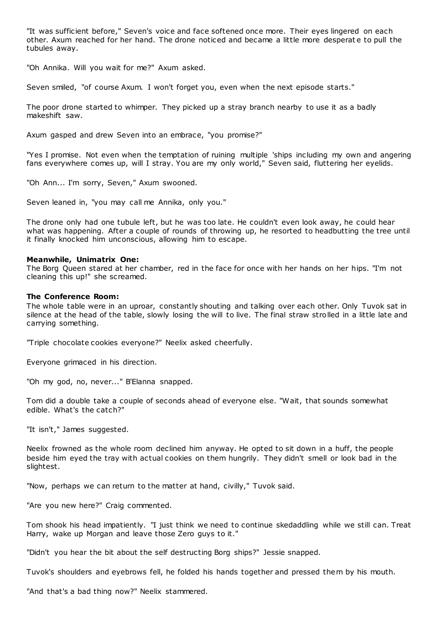"It was sufficient before," Seven's voice and face softened once more. Their eyes lingered on each other. Axum reached for her hand. The drone noticed and became a little more desperat e to pull the tubules away.

"Oh Annika. Will you wait for me?" Axum asked.

Seven smiled, "of course Axum. I won't forget you, even when the next episode starts."

The poor drone started to whimper. They picked up a stray branch nearby to use it as a badly makeshift saw.

Axum gasped and drew Seven into an embrace, "you promise?"

"Yes I promise. Not even when the temptation of ruining multiple 'ships including my own and angering fans everywhere comes up, will I stray. You are my only world," Seven said, fluttering her eyelids.

"Oh Ann... I'm sorry, Seven," Axum swooned.

Seven leaned in, "you may call me Annika, only you."

The drone only had one tubule left, but he was too late. He couldn't even look away, he could hear what was happening. After a couple of rounds of throwing up, he resorted to headbutting the tree until it finally knocked him unconscious, allowing him to escape.

# **Meanwhile, Unimatrix One:**

The Borg Queen stared at her chamber, red in the face for once with her hands on her hips. "I'm not cleaning this up!" she screamed.

# **The Conference Room:**

The whole table were in an uproar, constantly shouting and talking over each other. Only Tuvok sat in silence at the head of the table, slowly losing the will to live. The final straw strolled in a little late and carrying something.

"Triple chocolate cookies everyone?" Neelix asked cheerfully.

Everyone grimaced in his direction.

"Oh my god, no, never..." B'Elanna snapped.

Tom did a double take a couple of seconds ahead of everyone else. "Wait, that sounds somewhat edible. What's the catch?"

"It isn't," James suggested.

Neelix frowned as the whole room declined him anyway. He opted to sit down in a huff, the people beside him eyed the tray with actual cookies on them hungrily. They didn't smell or look bad in the slightest.

"Now, perhaps we can return to the matter at hand, civilly," Tuvok said.

"Are you new here?" Craig commented.

Tom shook his head impatiently. "I just think we need to continue skedaddling while we still can. Treat Harry, wake up Morgan and leave those Zero guys to it."

"Didn't you hear the bit about the self destructing Borg ships?" Jessie snapped.

Tuvok's shoulders and eyebrows fell, he folded his hands together and pressed them by his mouth.

"And that's a bad thing now?" Neelix stammered.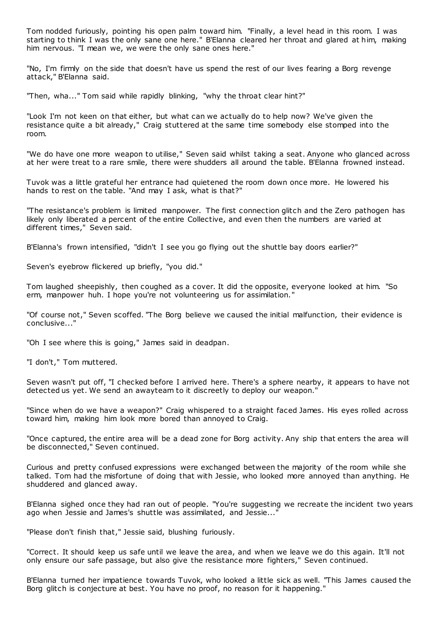Tom nodded furiously, pointing his open palm toward him. "Finally, a level head in this room. I was starting to think I was the only sane one here." B'Elanna cleared her throat and glared at him, making him nervous. "I mean we, we were the only sane ones here."

"No, I'm firmly on the side that doesn't have us spend the rest of our lives fearing a Borg revenge attack," B'Elanna said.

"Then, wha..." Tom said while rapidly blinking, "why the throat clear hint?"

"Look I'm not keen on that either, but what can we actually do to help now? We've given the resistance quite a bit already," Craig stuttered at the same time somebody else stomped into the room.

"We do have one more weapon to utilise," Seven said whilst taking a seat. Anyone who glanced across at her were treat to a rare smile, there were shudders all around the table. B'Elanna frowned instead.

Tuvok was a little grateful her entrance had quietened the room down once more. He lowered his hands to rest on the table. "And may I ask, what is that?"

"The resistance's problem is limited manpower. The first connection glitch and the Zero pathogen has likely only liberated a percent of the entire Collective, and even then the numbers are varied at different times," Seven said.

B'Elanna's frown intensified, "didn't I see you go flying out the shuttle bay doors earlier?"

Seven's eyebrow flickered up briefly, "you did."

Tom laughed sheepishly, then coughed as a cover. It did the opposite, everyone looked at him. "So erm, manpower huh. I hope you're not volunteering us for assimilation."

"Of course not," Seven scoffed. "The Borg believe we caused the initial malfunction, their evidence is conclusive..."

"Oh I see where this is going," James said in deadpan.

"I don't," Tom muttered.

Seven wasn't put off, "I checked before I arrived here. There's a sphere nearby, it appears to have not detected us yet. We send an awayteam to it discreetly to deploy our weapon."

"Since when do we have a weapon?" Craig whispered to a straight faced James. His eyes rolled across toward him, making him look more bored than annoyed to Craig.

"Once captured, the entire area will be a dead zone for Borg activity. Any ship that enters the area will be disconnected," Seven continued.

Curious and pretty confused expressions were exchanged between the majority of the room while she talked. Tom had the misfortune of doing that with Jessie, who looked more annoyed than anything. He shuddered and glanced away.

B'Elanna sighed once they had ran out of people. "You're suggesting we recreate the incident two years ago when Jessie and James's shuttle was assimilated, and Jessie..."

"Please don't finish that," Jessie said, blushing furiously.

"Correct. It should keep us safe until we leave the area, and when we leave we do this again. It'll not only ensure our safe passage, but also give the resistance more fighters," Seven continued.

B'Elanna turned her impatience towards Tuvok, who looked a little sick as well. "This James caused the Borg glitch is conjecture at best. You have no proof, no reason for it happening."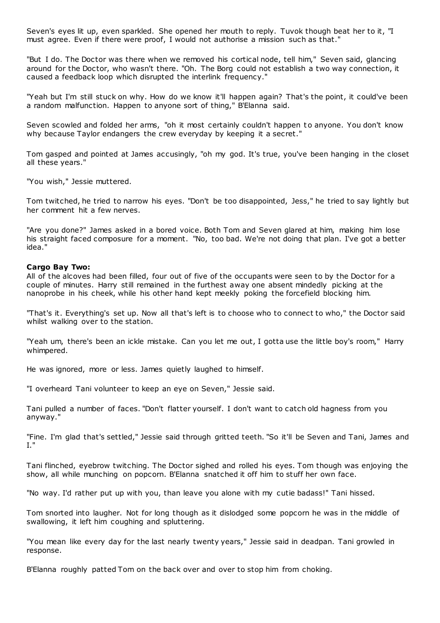Seven's eyes lit up, even sparkled. She opened her mouth to reply. Tuvok though beat her to it, "I must agree. Even if there were proof, I would not authorise a mission such as that."

"But I do. The Doctor was there when we removed his cortical node, tell him," Seven said, glancing around for the Doctor, who wasn't there. "Oh. The Borg could not establish a two way connection, it caused a feedback loop which disrupted the interlink frequency."

"Yeah but I'm still stuck on why. How do we know it'll happen again? That's the point, it could've been a random malfunction. Happen to anyone sort of thing," B'Elanna said.

Seven scowled and folded her arms, "oh it most certainly couldn't happen to anyone. You don't know why because Taylor endangers the crew everyday by keeping it a secret."

Tom gasped and pointed at James accusingly, "oh my god. It's true, you've been hanging in the closet all these years."

"You wish," Jessie muttered.

Tom twitched, he tried to narrow his eyes. "Don't be too disappointed, Jess," he tried to say lightly but her comment hit a few nerves.

"Are you done?" James asked in a bored voice. Both Tom and Seven glared at him, making him lose his straight faced composure for a moment. "No, too bad. We're not doing that plan. I've got a better idea."

#### **Cargo Bay Two:**

All of the alcoves had been filled, four out of five of the occupants were seen to by the Doctor for a couple of minutes. Harry still remained in the furthest away one absent mindedly picking at the nanoprobe in his cheek, while his other hand kept meekly poking the forcefield blocking him.

"That's it. Everything's set up. Now all that's left is to choose who to connect to who," the Doctor said whilst walking over to the station.

"Yeah um, there's been an ickle mistake. Can you let me out, I gotta use the little boy's room," Harry whimpered.

He was ignored, more or less. James quietly laughed to himself.

"I overheard Tani volunteer to keep an eye on Seven," Jessie said.

Tani pulled a number of faces. "Don't flatter yourself. I don't want to catch old hagness from you anyway."

"Fine. I'm glad that's settled," Jessie said through gritted teeth. "So it'll be Seven and Tani, James and I."

Tani flinched, eyebrow twitching. The Doctor sighed and rolled his eyes. Tom though was enjoying the show, all while munching on popcorn. B'Elanna snatched it off him to stuff her own face.

"No way. I'd rather put up with you, than leave you alone with my cutie badass!" Tani hissed.

Tom snorted into laugher. Not for long though as it dislodged some popcorn he was in the middle of swallowing, it left him coughing and spluttering.

"You mean like every day for the last nearly twenty years," Jessie said in deadpan. Tani growled in response.

B'Elanna roughly patted Tom on the back over and over to stop him from choking.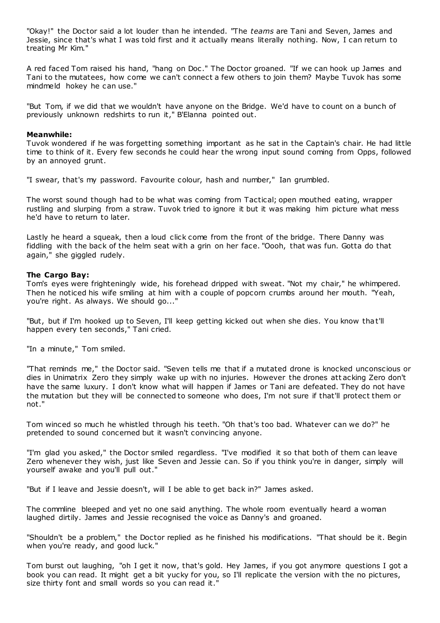"Okay!" the Doctor said a lot louder than he intended. "The *teams* are Tani and Seven, James and Jessie, since that's what I was told first and it actually means literally nothing. Now, I can return to treating Mr Kim."

A red faced Tom raised his hand, "hang on Doc ." The Doctor groaned. "If we can hook up James and Tani to the mutatees, how come we can't connect a few others to join them? Maybe Tuvok has some mindmeld hokey he can use."

"But Tom, if we did that we wouldn't have anyone on the Bridge. We'd have to count on a bunch of previously unknown redshirts to run it," B'Elanna pointed out.

#### **Meanwhile:**

Tuvok wondered if he was forgetting something important as he sat in the Captain's chair. He had little time to think of it. Every few seconds he could hear the wrong input sound coming from Opps, followed by an annoyed grunt.

"I swear, that's my password. Favourite colour, hash and number," Ian grumbled.

The worst sound though had to be what was coming from Tactical; open mouthed eating, wrapper rustling and slurping from a straw. Tuvok tried to ignore it but it was making him picture what mess he'd have to return to later.

Lastly he heard a squeak, then a loud click come from the front of the bridge. There Danny was fiddling with the back of the helm seat with a grin on her face. "Oooh, that was fun. Gotta do that again," she giggled rudely.

#### **The Cargo Bay:**

Tom's eyes were frighteningly wide, his forehead dripped with sweat. "Not my chair," he whimpered. Then he noticed his wife smiling at him with a couple of popcorn crumbs around her mouth. "Yeah, you're right. As always. We should go..."

"But, but if I'm hooked up to Seven, I'll keep getting kicked out when she dies. You know that'll happen every ten seconds," Tani cried.

"In a minute," Tom smiled.

"That reminds me," the Doctor said. "Seven tells me that if a mutated drone is knocked unconscious or dies in Unimatrix Zero they simply wake up with no injuries. However the drones att acking Zero don't have the same luxury. I don't know what will happen if James or Tani are defeated. They do not have the mutation but they will be connected to someone who does, I'm not sure if that'll protect them or not."

Tom winced so much he whistled through his teeth. "Oh that's too bad. Whatever can we do?" he pretended to sound concerned but it wasn't convincing anyone.

"I'm glad you asked," the Doctor smiled regardless. "I've modified it so that both of them can leave Zero whenever they wish, just like Seven and Jessie can. So if you think you're in danger, simply will yourself awake and you'll pull out."

"But if I leave and Jessie doesn't, will I be able to get back in?" James asked.

The commline bleeped and yet no one said anything. The whole room eventually heard a woman laughed dirtily. James and Jessie recognised the voice as Danny's and groaned.

"Shouldn't be a problem," the Doctor replied as he finished his modifications. "That should be it. Begin when you're ready, and good luck."

Tom burst out laughing, "oh I get it now, that's gold. Hey James, if you got anymore questions I got a book you can read. It might get a bit yucky for you, so I'll replicate the version with the no pictures, size thirty font and small words so you can read it."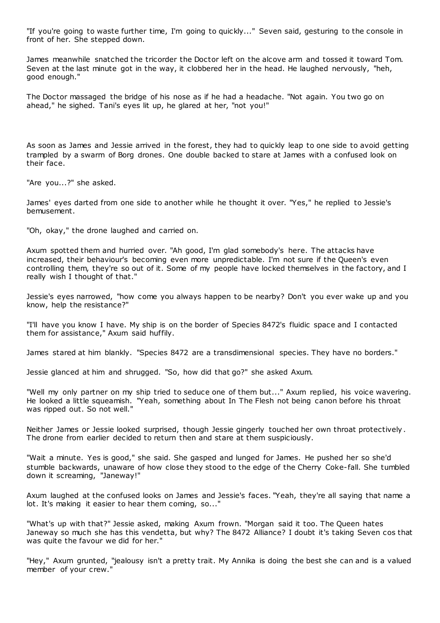"If you're going to waste further time, I'm going to quickly..." Seven said, gesturing to the console in front of her. She stepped down.

James meanwhile snatched the tricorder the Doctor left on the alcove arm and tossed it toward Tom. Seven at the last minute got in the way, it clobbered her in the head. He laughed nervously, "heh, good enough."

The Doctor massaged the bridge of his nose as if he had a headache. "Not again. You two go on ahead," he sighed. Tani's eyes lit up, he glared at her, "not you!"

As soon as James and Jessie arrived in the forest, they had to quickly leap to one side to avoid getting trampled by a swarm of Borg drones. One double backed to stare at James with a confused look on their face.

"Are you...?" she asked.

James' eyes darted from one side to another while he thought it over. "Yes," he replied to Jessie's bemusement.

"Oh, okay," the drone laughed and carried on.

Axum spotted them and hurried over. "Ah good, I'm glad somebody's here. The attacks have increased, their behaviour's becoming even more unpredictable. I'm not sure if the Queen's even controlling them, they're so out of it. Some of my people have locked themselves in the factory, and I really wish I thought of that."

Jessie's eyes narrowed, "how come you always happen to be nearby? Don't you ever wake up and you know, help the resistance?"

"I'll have you know I have. My ship is on the border of Species 8472's fluidic space and I contacted them for assistance," Axum said huffily.

James stared at him blankly. "Species 8472 are a transdimensional species. They have no borders."

Jessie glanced at him and shrugged. "So, how did that go?" she asked Axum.

"Well my only partner on my ship tried to seduce one of them but..." Axum replied, his voice wavering. He looked a little squeamish. "Yeah, something about In The Flesh not being canon before his throat was ripped out. So not well."

Neither James or Jessie looked surprised, though Jessie gingerly touched her own throat protectively . The drone from earlier decided to return then and stare at them suspiciously.

"Wait a minute. Yes is good," she said. She gasped and lunged for James. He pushed her so she'd stumble backwards, unaware of how close they stood to the edge of the Cherry Coke-fall. She tumbled down it screaming, "Janeway!"

Axum laughed at the confused looks on James and Jessie's faces. "Yeah, they're all saying that name a lot. It's making it easier to hear them coming, so..."

"What's up with that?" Jessie asked, making Axum frown. "Morgan said it too. The Queen hates Janeway so much she has this vendetta, but why? The 8472 Alliance? I doubt it's taking Seven cos that was quite the favour we did for her."

"Hey," Axum grunted, "jealousy isn't a pretty trait. My Annika is doing the best she can and is a valued member of your crew."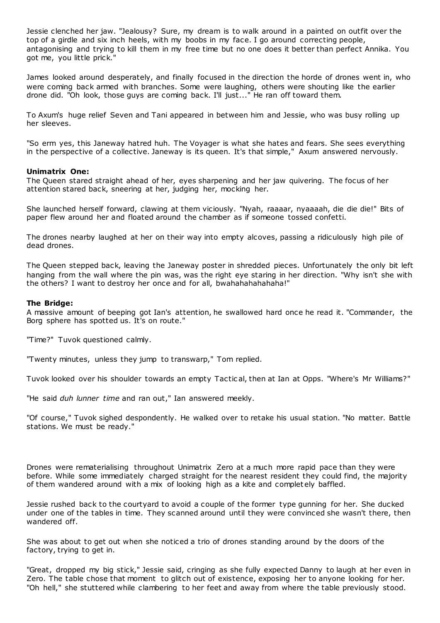Jessie clenched her jaw. "Jealousy? Sure, my dream is to walk around in a painted on outfit over the top of a girdle and six inch heels, with my boobs in my face. I go around correcting people, antagonising and trying to kill them in my free time but no one does it better than perfect Annika. You got me, you little prick."

James looked around desperately, and finally focused in the direction the horde of drones went in, who were coming back armed with branches. Some were laughing, others were shouting like the earlier drone did. "Oh look, those guys are coming back. I'll just..." He ran off toward them.

To Axum's huge relief Seven and Tani appeared in between him and Jessie, who was busy rolling up her sleeves.

"So erm yes, this Janeway hatred huh. The Voyager is what she hates and fears. She sees everything in the perspective of a collective. Janeway is its queen. It's that simple," Axum answered nervously.

# **Unimatrix One:**

The Queen stared straight ahead of her, eyes sharpening and her jaw quivering. The focus of her attention stared back, sneering at her, judging her, mocking her.

She launched herself forward, clawing at them viciously. "Nyah, raaaar, nyaaaah, die die die!" Bits of paper flew around her and floated around the chamber as if someone tossed confetti.

The drones nearby laughed at her on their way into empty alcoves, passing a ridiculously high pile of dead drones.

The Queen stepped back, leaving the Janeway poster in shredded pieces. Unfortunately the only bit left hanging from the wall where the pin was, was the right eye staring in her direction. "Why isn't she with the others? I want to destroy her once and for all, bwahahahahahaha!"

# **The Bridge:**

A massive amount of beeping got Ian's attention, he swallowed hard once he read it. "Commander, the Borg sphere has spotted us. It's on route."

"Time?" Tuvok questioned calmly.

"Twenty minutes, unless they jump to transwarp," Tom replied.

Tuvok looked over his shoulder towards an empty Tactic al, then at Ian at Opps. "Where's Mr Williams?"

"He said *duh lunner time* and ran out," Ian answered meekly.

"Of course," Tuvok sighed despondently. He walked over to retake his usual station. "No matter. Battle stations. We must be ready."

Drones were rematerialising throughout Unimatrix Zero at a much more rapid pace than they were before. While some immediately charged straight for the nearest resident they could find, the majority of them wandered around with a mix of looking high as a kite and complet ely baffled.

Jessie rushed back to the courtyard to avoid a couple of the former type gunning for her. She ducked under one of the tables in time. They scanned around until they were convinced she wasn't there, then wandered off.

She was about to get out when she noticed a trio of drones standing around by the doors of the factory, trying to get in.

"Great, dropped my big stick," Jessie said, cringing as she fully expected Danny to laugh at her even in Zero. The table chose that moment to glitch out of existence, exposing her to anyone looking for her. "Oh hell," she stuttered while clambering to her feet and away from where the table previously stood.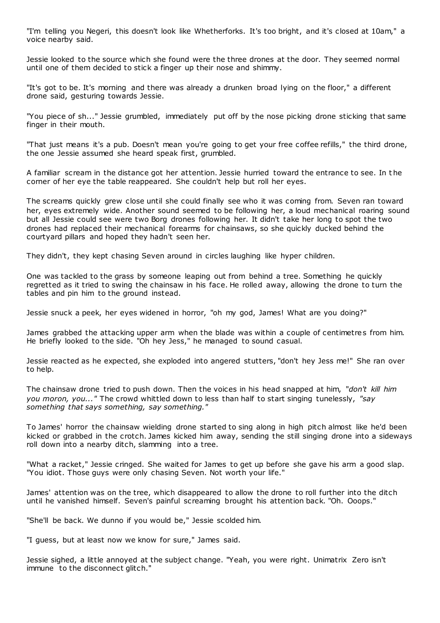"I'm telling you Negeri, this doesn't look like Whetherforks. It's too bright, and it's closed at 10am," a voice nearby said.

Jessie looked to the source which she found were the three drones at the door. They seemed normal until one of them decided to stick a finger up their nose and shimmy.

"It's got to be. It's morning and there was already a drunken broad lying on the floor," a different drone said, gesturing towards Jessie.

"You piece of sh..." Jessie grumbled, immediately put off by the nose picking drone sticking that same finger in their mouth.

"That just means it's a pub. Doesn't mean you're going to get your free coffee refills," the third drone, the one Jessie assumed she heard speak first, grumbled.

A familiar scream in the distance got her attention. Jessie hurried toward the entrance to see. In t he corner of her eye the table reappeared. She couldn't help but roll her eyes.

The screams quickly grew close until she could finally see who it was coming from. Seven ran toward her, eyes extremely wide. Another sound seemed to be following her, a loud mechanical roaring sound but all Jessie could see were two Borg drones following her. It didn't take her long to spot the two drones had replaced their mechanical forearms for chainsaws, so she quickly ducked behind the courtyard pillars and hoped they hadn't seen her.

They didn't, they kept chasing Seven around in circles laughing like hyper children.

One was tackled to the grass by someone leaping out from behind a tree. Something he quickly regretted as it tried to swing the chainsaw in his face. He rolled away, allowing the drone to turn the tables and pin him to the ground instead.

Jessie snuck a peek, her eyes widened in horror, "oh my god, James! What are you doing?"

James grabbed the attacking upper arm when the blade was within a couple of centimetres from him. He briefly looked to the side. "Oh hey Jess," he managed to sound casual.

Jessie reacted as he expected, she exploded into angered stutters, "don't hey Jess me!" She ran over to help.

The chainsaw drone tried to push down. Then the voices in his head snapped at him, "*don't kill him you moron, you..."* The crowd whittled down to less than half to start singing tunelessly, *"say something that says something, say something."*

To James' horror the chainsaw wielding drone started to sing along in high pitch almost like he'd been kicked or grabbed in the crotch. James kicked him away, sending the still singing drone into a sideways roll down into a nearby ditch, slamming into a tree.

"What a racket," Jessie cringed. She waited for James to get up before she gave his arm a good slap. "You idiot. Those guys were only chasing Seven. Not worth your life."

James' attention was on the tree, which disappeared to allow the drone to roll further into the ditch until he vanished himself. Seven's painful screaming brought his attention back. "Oh. Ooops."

"She'll be back. We dunno if you would be," Jessie scolded him.

"I guess, but at least now we know for sure," James said.

Jessie sighed, a little annoyed at the subject change. "Yeah, you were right. Unimatrix Zero isn't immune to the disconnect glitch."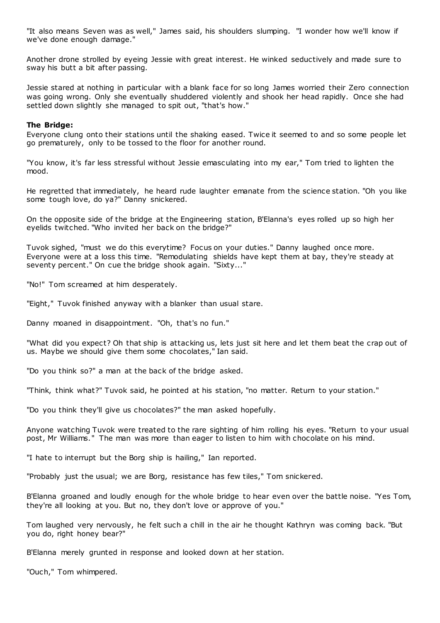"It also means Seven was as well," James said, his shoulders slumping. "I wonder how we'll know if we've done enough damage."

Another drone strolled by eyeing Jessie with great interest. He winked seductively and made sure to sway his butt a bit after passing.

Jessie stared at nothing in particular with a blank face for so long James worried their Zero connection was going wrong. Only she eventually shuddered violently and shook her head rapidly. Once she had settled down slightly she managed to spit out, "that's how."

# **The Bridge:**

Everyone clung onto their stations until the shaking eased. Twice it seemed to and so some people let go prematurely, only to be tossed to the floor for another round.

"You know, it's far less stressful without Jessie emasculating into my ear," Tom tried to lighten the mood.

He regretted that immediately, he heard rude laughter emanate from the science station. "Oh you like some tough love, do ya?" Danny snickered.

On the opposite side of the bridge at the Engineering station, B'Elanna's eyes rolled up so high her eyelids twitched. "Who invited her back on the bridge?"

Tuvok sighed, "must we do this everytime? Focus on your duties." Danny laughed once more. Everyone were at a loss this time. "Remodulating shields have kept them at bay, they're steady at seventy percent." On cue the bridge shook again. "Sixty..."

"No!" Tom screamed at him desperately.

"Eight," Tuvok finished anyway with a blanker than usual stare.

Danny moaned in disappointment. "Oh, that's no fun."

"What did you expect? Oh that ship is attacking us, lets just sit here and let them beat the crap out of us. Maybe we should give them some chocolates," Ian said.

"Do you think so?" a man at the back of the bridge asked.

"Think, think what?" Tuvok said, he pointed at his station, "no matter. Return to your station."

"Do you think they'll give us chocolates?" the man asked hopefully.

Anyone watching Tuvok were treated to the rare sighting of him rolling his eyes. "Return to your usual post, Mr Williams." The man was more than eager to listen to him with chocolate on his mind.

"I hate to interrupt but the Borg ship is hailing," Ian reported.

"Probably just the usual; we are Borg, resistance has few tiles," Tom snickered.

B'Elanna groaned and loudly enough for the whole bridge to hear even over the battle noise. "Yes Tom, they're all looking at you. But no, they don't love or approve of you."

Tom laughed very nervously, he felt such a chill in the air he thought Kathryn was coming back. "But you do, right honey bear?"

B'Elanna merely grunted in response and looked down at her station.

"Ouch," Tom whimpered.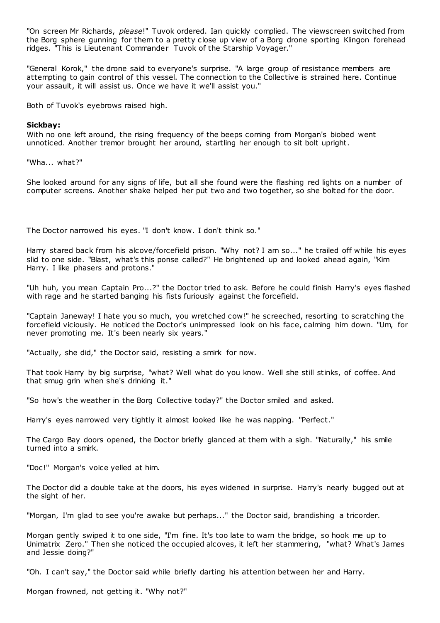"On screen Mr Richards, *please*!" Tuvok ordered. Ian quickly complied. The viewscreen switched from the Borg sphere gunning for them to a pretty close up view of a Borg drone sporting Klingon forehead ridges. "This is Lieutenant Commander Tuvok of the Starship Voyager."

"General Korok," the drone said to everyone's surprise. "A large group of resistance members are attempting to gain control of this vessel. The connection to the Collective is strained here. Continue your assault, it will assist us. Once we have it we'll assist you."

Both of Tuvok's eyebrows raised high.

# **Sickbay:**

With no one left around, the rising frequency of the beeps coming from Morgan's biobed went unnoticed. Another tremor brought her around, startling her enough to sit bolt upright.

"Wha... what?"

She looked around for any signs of life, but all she found were the flashing red lights on a number of computer screens. Another shake helped her put two and two together, so she bolted for the door.

The Doctor narrowed his eyes. "I don't know. I don't think so."

Harry stared back from his alcove/forcefield prison. "Why not? I am so..." he trailed off while his eyes slid to one side. "Blast, what's this ponse called?" He brightened up and looked ahead again, "Kim Harry. I like phasers and protons."

"Uh huh, you mean Captain Pro...?" the Doctor tried to ask. Before he could finish Harry's eyes flashed with rage and he started banging his fists furiously against the forcefield.

"Captain Janeway! I hate you so much, you wretched cow!" he screeched, resorting to scratching the forcefield viciously. He noticed the Doctor's unimpressed look on his face, calming him down. "Um, for never promoting me. It's been nearly six years."

"Actually, she did," the Doctor said, resisting a smirk for now.

That took Harry by big surprise, "what? Well what do you know. Well she still stinks, of coffee. And that smug grin when she's drinking it."

"So how's the weather in the Borg Collective today?" the Doctor smiled and asked.

Harry's eyes narrowed very tightly it almost looked like he was napping. "Perfect."

The Cargo Bay doors opened, the Doctor briefly glanced at them with a sigh. "Naturally," his smile turned into a smirk.

"Doc!" Morgan's voice yelled at him.

The Doctor did a double take at the doors, his eyes widened in surprise. Harry's nearly bugged out at the sight of her.

"Morgan, I'm glad to see you're awake but perhaps..." the Doctor said, brandishing a tricorder.

Morgan gently swiped it to one side, "I'm fine. It's too late to warn the bridge, so hook me up to Unimatrix Zero." Then she noticed the occupied alcoves, it left her stammering, "what? What's James and Jessie doing?"

"Oh. I can't say," the Doctor said while briefly darting his attention between her and Harry.

Morgan frowned, not getting it. "Why not?"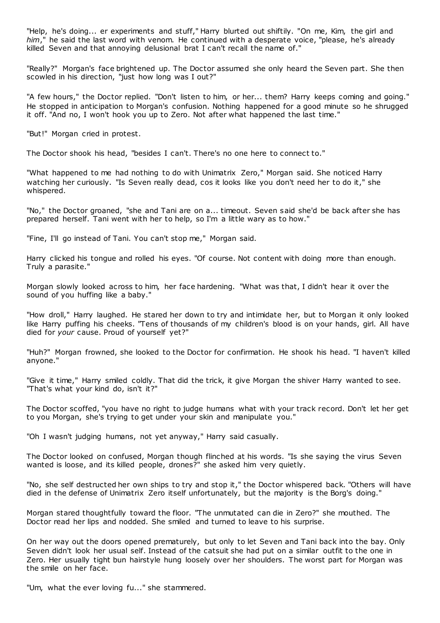"Help, he's doing... er experiments and stuff," Harry blurted out shiftily. "On me, Kim, the girl and *him*," he said the last word with venom. He continued with a desperate voice, "please, he's already killed Seven and that annoying delusional brat I can't recall the name of."

"Really?" Morgan's face brightened up. The Doctor assumed she only heard the Seven part. She then scowled in his direction, "just how long was I out?"

"A few hours," the Doctor replied. "Don't listen to him, or her... them? Harry keeps coming and going." He stopped in anticipation to Morgan's confusion. Nothing happened for a good minute so he shrugged it off. "And no, I won't hook you up to Zero. Not after what happened the last time."

"But!" Morgan cried in protest.

The Doctor shook his head, "besides I can't. There's no one here to connect to."

"What happened to me had nothing to do with Unimatrix Zero," Morgan said. She noticed Harry watching her curiously. "Is Seven really dead, cos it looks like you don't need her to do it," she whispered.

"No," the Doctor groaned, "she and Tani are on a... timeout. Seven said she'd be back after she has prepared herself. Tani went with her to help, so I'm a little wary as to how."

"Fine, I'll go instead of Tani. You can't stop me," Morgan said.

Harry clicked his tongue and rolled his eyes. "Of course. Not content with doing more than enough. Truly a parasite."

Morgan slowly looked across to him, her face hardening. "What was that, I didn't hear it over the sound of you huffing like a baby."

"How droll," Harry laughed. He stared her down to try and intimidate her, but to Morgan it only looked like Harry puffing his cheeks. "Tens of thousands of my children's blood is on your hands, girl. All have died for *your* cause. Proud of yourself yet?"

"Huh?" Morgan frowned, she looked to the Doctor for confirmation. He shook his head. "I haven't killed anyone."

"Give it time," Harry smiled coldly. That did the trick, it give Morgan the shiver Harry wanted to see. "That's what your kind do, isn't it?"

The Doctor scoffed, "you have no right to judge humans what with your track record. Don't let her get to you Morgan, she's trying to get under your skin and manipulate you."

"Oh I wasn't judging humans, not yet anyway," Harry said casually.

The Doctor looked on confused, Morgan though flinched at his words. "Is she saying the virus Seven wanted is loose, and its killed people, drones?" she asked him very quietly.

"No, she self destructed her own ships to try and stop it," the Doctor whispered back. "Others will have died in the defense of Unimatrix Zero itself unfortunately, but the majority is the Borg's doing."

Morgan stared thoughtfully toward the floor. "The unmutated can die in Zero?" she mouthed. The Doctor read her lips and nodded. She smiled and turned to leave to his surprise.

On her way out the doors opened prematurely, but only to let Seven and Tani back into the bay. Only Seven didn't look her usual self. Instead of the catsuit she had put on a similar outfit to the one in Zero. Her usually tight bun hairstyle hung loosely over her shoulders. The worst part for Morgan was the smile on her face.

"Um, what the ever loving fu..." she stammered.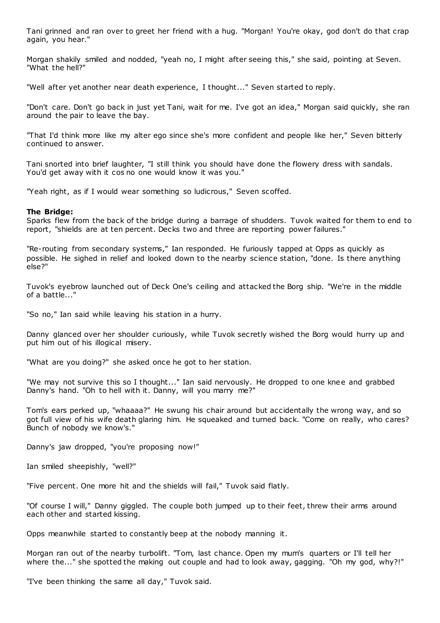Tani grinned and ran over to greet her friend with a hug. "Morgan! You're okay, god don't do that crap again, you hear."

Morgan shakily smiled and nodded, "yeah no, I might after seeing this," she said, pointing at Seven. "What the hell?"

"Well after yet another near death experience, I thought..." Seven started to reply.

"Don't care. Don't go back in just yet Tani, wait for me. I've got an idea," Morgan said quickly, she ran around the pair to leave the bay.

"That I'd think more like my alter ego since she's more confident and people like her," Seven bitterly continued to answer.

Tani snorted into brief laughter, "I still think you should have done the flowery dress with sandals. You'd get away with it cos no one would know it was you."

"Yeah right, as if I would wear something so ludicrous," Seven scoffed.

#### **The Bridge:**

Sparks flew from the back of the bridge during a barrage of shudders. Tuvok waited for them to end to report, "shields are at ten percent. Decks two and three are reporting power failures."

"Re-routing from secondary systems," Ian responded. He furiously tapped at Opps as quickly as possible. He sighed in relief and looked down to the nearby science station, "done. Is there anything else?"

Tuvok's eyebrow launched out of Deck One's ceiling and attacked the Borg ship. "We're in the middle of a battle..."

"So no," Ian said while leaving his station in a hurry.

Danny glanced over her shoulder curiously, while Tuvok secretly wished the Borg would hurry up and put him out of his illogical misery.

"What are you doing?" she asked once he got to her station.

"We may not survive this so I thought..." Ian said nervously. He dropped to one knee and grabbed Danny's hand. "Oh to hell with it. Danny, will you marry me?"

Tom's ears perked up, "whaaaa?" He swung his chair around but accidentally the wrong way, and so got full view of his wife death glaring him. He squeaked and turned back. "Come on really, who cares? Bunch of nobody we know's."

Danny's jaw dropped, "you're proposing now!"

Ian smiled sheepishly, "well?"

"Five percent. One more hit and the shields will fail," Tuvok said flatly.

"Of course I will," Danny giggled. The couple both jumped up to their feet, threw their arms around each other and started kissing.

Opps meanwhile started to constantly beep at the nobody manning it.

Morgan ran out of the nearby turbolift. "Tom, last chance. Open my mum's quarters or I'll tell her where the..." she spotted the making out couple and had to look away, gagging. "Oh my god, why?!"

"I've been thinking the same all day," Tuvok said.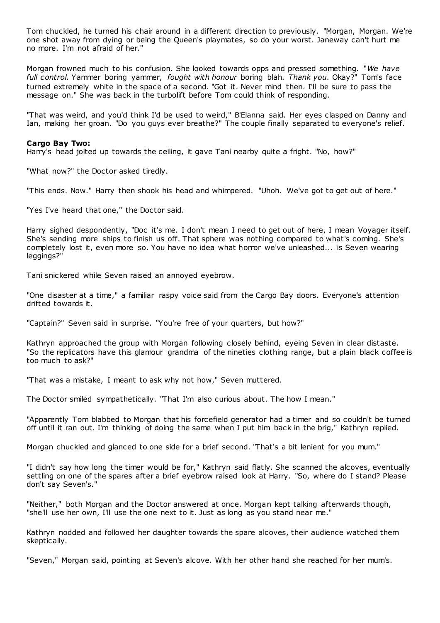Tom chuckled, he turned his chair around in a different direction to previously. "Morgan, Morgan. We're one shot away from dying or being the Queen's playmates, so do your worst. Janeway can't hurt me no more. I'm not afraid of her."

Morgan frowned much to his confusion. She looked towards opps and pressed something. "*We have full control.* Yammer boring yammer, *fought with honour* boring blah*. Thank you*. Okay?" Tom's face turned extremely white in the space of a second. "Got it. Never mind then. I'll be sure to pass the message on." She was back in the turbolift before Tom could think of responding.

"That was weird, and you'd think I'd be used to weird," B'Elanna said. Her eyes clasped on Danny and Ian, making her groan. "Do you guys ever breathe?" The couple finally separated to everyone's relief.

#### **Cargo Bay Two:**

Harry's head jolted up towards the ceiling, it gave Tani nearby quite a fright. "No, how?"

"What now?" the Doctor asked tiredly.

"This ends. Now." Harry then shook his head and whimpered. "Uhoh. We've got to get out of here."

"Yes I've heard that one," the Doctor said.

Harry sighed despondently, "Doc it's me. I don't mean I need to get out of here, I mean Voyager itself. She's sending more ships to finish us off. That sphere was nothing compared to what's coming. She's completely lost it, even more so. You have no idea what horror we've unleashed... is Seven wearing leggings?"

Tani snickered while Seven raised an annoyed eyebrow.

"One disaster at a time," a familiar raspy voice said from the Cargo Bay doors. Everyone's attention drifted towards it.

"Captain?" Seven said in surprise. "You're free of your quarters, but how?"

Kathryn approached the group with Morgan following closely behind, eyeing Seven in clear distaste. "So the replicators have this glamour grandma of the nineties clothing range, but a plain black coffee is too much to ask?"

"That was a mistake, I meant to ask why not how," Seven muttered.

The Doctor smiled sympathetically. "That I'm also curious about. The how I mean."

"Apparently Tom blabbed to Morgan that his forcefield generator had a timer and so couldn't be turned off until it ran out. I'm thinking of doing the same when I put him back in the brig," Kathryn replied.

Morgan chuckled and glanced to one side for a brief second. "That's a bit lenient for you mum."

"I didn't say how long the timer would be for," Kathryn said flatly. She scanned the alcoves, eventually settling on one of the spares after a brief eyebrow raised look at Harry. "So, where do I stand? Please don't say Seven's."

"Neither," both Morgan and the Doctor answered at once. Morgan kept talking afterwards though, "she'll use her own, I'll use the one next to it. Just as long as you stand near me."

Kathryn nodded and followed her daughter towards the spare alcoves, their audience watched them skeptically.

"Seven," Morgan said, pointing at Seven's alcove. With her other hand she reached for her mum's.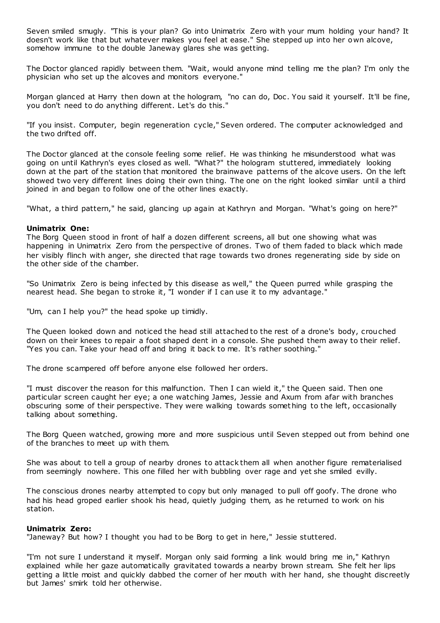Seven smiled smugly. "This is your plan? Go into Unimatrix Zero with your mum holding your hand? It doesn't work like that but whatever makes you feel at ease." She stepped up into her own alcove, somehow immune to the double Janeway glares she was getting.

The Doctor glanced rapidly between them. "Wait, would anyone mind telling me the plan? I'm only the physician who set up the alcoves and monitors everyone."

Morgan glanced at Harry then down at the hologram, "no can do, Doc . You said it yourself. It'll be fine, you don't need to do anything different. Let's do this."

"If you insist. Computer, begin regeneration cycle," Seven ordered. The computer acknowledged and the two drifted off.

The Doctor glanced at the console feeling some relief. He was thinking he misunderstood what was going on until Kathryn's eyes closed as well. "What?" the hologram stuttered, immediately looking down at the part of the station that monitored the brainwave patterns of the alcove users. On the left showed two very different lines doing their own thing. The one on the right looked similar until a third joined in and began to follow one of the other lines exactly.

"What, a third pattern," he said, glancing up again at Kathryn and Morgan. "What's going on here?"

# **Unimatrix One:**

The Borg Queen stood in front of half a dozen different screens, all but one showing what was happening in Unimatrix Zero from the perspective of drones. Two of them faded to black which made her visibly flinch with anger, she directed that rage towards two drones regenerating side by side on the other side of the chamber.

"So Unimatrix Zero is being infected by this disease as well," the Queen purred while grasping the nearest head. She began to stroke it, "I wonder if I can use it to my advantage."

"Um, can I help you?" the head spoke up timidly.

The Queen looked down and noticed the head still attached to the rest of a drone's body, crouched down on their knees to repair a foot shaped dent in a console. She pushed them away to their relief. "Yes you can. Take your head off and bring it back to me. It's rather soothing."

The drone scampered off before anyone else followed her orders.

"I must discover the reason for this malfunction. Then I can wield it," the Queen said. Then one particular screen caught her eye; a one watching James, Jessie and Axum from afar with branches obscuring some of their perspective. They were walking towards somet hing to the left, occasionally talking about something.

The Borg Queen watched, growing more and more suspicious until Seven stepped out from behind one of the branches to meet up with them.

She was about to tell a group of nearby drones to attack them all when another figure rematerialised from seemingly nowhere. This one filled her with bubbling over rage and yet she smiled evilly.

The conscious drones nearby attempted to copy but only managed to pull off goofy. The drone who had his head groped earlier shook his head, quietly judging them, as he returned to work on his station.

#### **Unimatrix Zero:**

"Janeway? But how? I thought you had to be Borg to get in here," Jessie stuttered.

"I'm not sure I understand it myself. Morgan only said forming a link would bring me in," Kathryn explained while her gaze automatically gravitated towards a nearby brown stream. She felt her lips getting a little moist and quickly dabbed the corner of her mouth with her hand, she thought discreetly but James' smirk told her otherwise.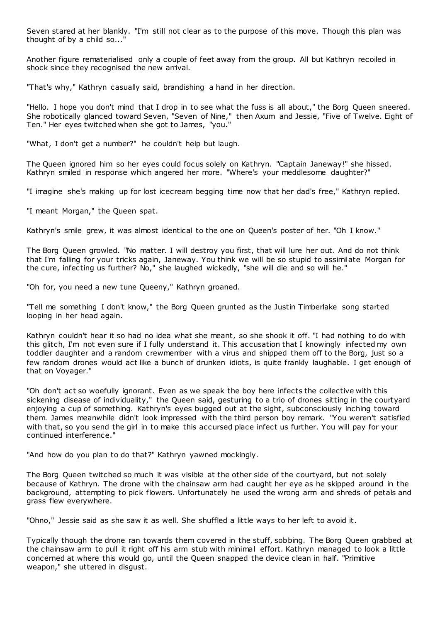Seven stared at her blankly. "I'm still not clear as to the purpose of this move. Though this plan was thought of by a child so...'

Another figure rematerialised only a couple of feet away from the group. All but Kathryn recoiled in shock since they recognised the new arrival.

"That's why," Kathryn casually said, brandishing a hand in her direction.

"Hello. I hope you don't mind that I drop in to see what the fuss is all about," the Borg Queen sneered. She robotically glanced toward Seven, "Seven of Nine," then Axum and Jessie, "Five of Twelve. Eight of Ten." Her eyes twitched when she got to James, "you."

"What, I don't get a number?" he couldn't help but laugh.

The Queen ignored him so her eyes could focus solely on Kathryn. "Captain Janeway!" she hissed. Kathryn smiled in response which angered her more. "Where's your meddlesome daughter?"

"I imagine she's making up for lost icecream begging time now that her dad's free," Kathryn replied.

"I meant Morgan," the Queen spat.

Kathryn's smile grew, it was almost identical to the one on Queen's poster of her. "Oh I know."

The Borg Queen growled. "No matter. I will destroy you first, that will lure her out. And do not think that I'm falling for your tricks again, Janeway. You think we will be so stupid to assimilate Morgan for the cure, infecting us further? No," she laughed wickedly, "she will die and so will he."

"Oh for, you need a new tune Queeny," Kathryn groaned.

"Tell me something I don't know," the Borg Queen grunted as the Justin Timberlake song started looping in her head again.

Kathryn couldn't hear it so had no idea what she meant, so she shook it off. "I had nothing to do with this glitch, I'm not even sure if I fully understand it. This accusation that I knowingly infected my own toddler daughter and a random crewmember with a virus and shipped them off to the Borg, just so a few random drones would act like a bunch of drunken idiots, is quite frankly laughable. I get enough of that on Voyager."

"Oh don't act so woefully ignorant. Even as we speak the boy here infects the collective with this sickening disease of individuality," the Queen said, gesturing to a trio of drones sitting in the courtyard enjoying a cup of something. Kathryn's eyes bugged out at the sight, subconsciously inching toward them. James meanwhile didn't look impressed with the third person boy remark. "You weren't satisfied with that, so you send the girl in to make this accursed place infect us further. You will pay for your continued interference."

"And how do you plan to do that?" Kathryn yawned mockingly.

The Borg Queen twitched so much it was visible at the other side of the courtyard, but not solely because of Kathryn. The drone with the chainsaw arm had caught her eye as he skipped around in the background, attempting to pick flowers. Unfortunately he used the wrong arm and shreds of petals and grass flew everywhere.

"Ohno," Jessie said as she saw it as well. She shuffled a little ways to her left to avoid it.

Typically though the drone ran towards them covered in the stuff, sobbing. The Borg Queen grabbed at the chainsaw arm to pull it right off his arm stub with minimal effort. Kathryn managed to look a little concerned at where this would go, until the Queen snapped the device clean in half. "Primitive weapon," she uttered in disgust.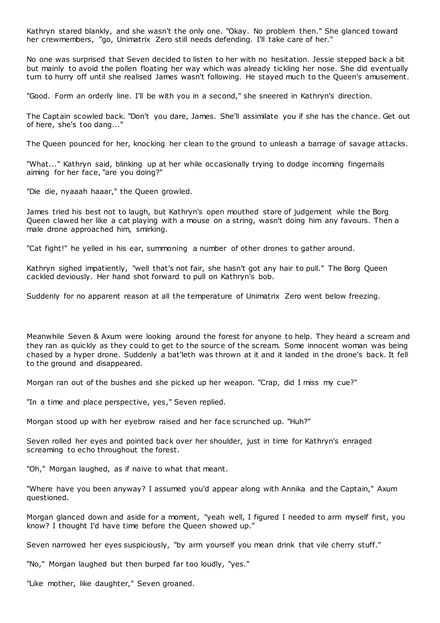Kathryn stared blankly, and she wasn't the only one. "Okay. No problem then." She glanced toward her crewmembers, "go, Unimatrix Zero still needs defending. I'll take care of her."

No one was surprised that Seven decided to listen to her with no hesitation. Jessie stepped back a bit but mainly to avoid the pollen floating her way which was already tickling her nose. She did eventually turn to hurry off until she realised James wasn't following. He stayed much to the Queen's amusement.

"Good. Form an orderly line. I'll be with you in a second," she sneered in Kathryn's direction.

The Captain scowled back. "Don't you dare, James. She'll assimilate you if she has the chance. Get out of here, she's too dang..."

The Queen pounced for her, knocking her clean to the ground to unleash a barrage of savage attacks.

"What..." Kathryn said, blinking up at her while occasionally trying to dodge incoming fingernails aiming for her face, "are you doing?"

"Die die, nyaaah haaar," the Queen growled.

James tried his best not to laugh, but Kathryn's open mouthed stare of judgement while the Borg Queen clawed her like a cat playing with a mouse on a string, wasn't doing him any favours. Then a male drone approached him, smirking.

"Cat fight!" he yelled in his ear, summoning a number of other drones to gather around.

Kathryn sighed impatiently, "well that's not fair, she hasn't got any hair to pull." The Borg Queen cackled deviously. Her hand shot forward to pull on Kathryn's bob.

Suddenly for no apparent reason at all the temperature of Unimatrix Zero went below freezing.

Meanwhile Seven & Axum were looking around the forest for anyone to help. They heard a scream and they ran as quickly as they could to get to the source of the scream. Some innocent woman was being chased by a hyper drone. Suddenly a bat'leth was thrown at it and it landed in the drone's back. It fell to the ground and disappeared.

Morgan ran out of the bushes and she picked up her weapon. "Crap, did I miss my cue?"

"In a time and place perspective, yes," Seven replied.

Morgan stood up with her eyebrow raised and her face scrunched up. "Huh?"

Seven rolled her eyes and pointed back over her shoulder, just in time for Kathryn's enraged screaming to echo throughout the forest.

"Oh," Morgan laughed, as if naive to what that meant.

"Where have you been anyway? I assumed you'd appear along with Annika and the Captain," Axum questioned.

Morgan glanced down and aside for a moment, "yeah well, I figured I needed to arm myself first, you know? I thought I'd have time before the Queen showed up."

Seven narrowed her eyes suspiciously, "by arm yourself you mean drink that vile cherry stuff."

"No," Morgan laughed but then burped far too loudly, "yes."

"Like mother, like daughter," Seven groaned.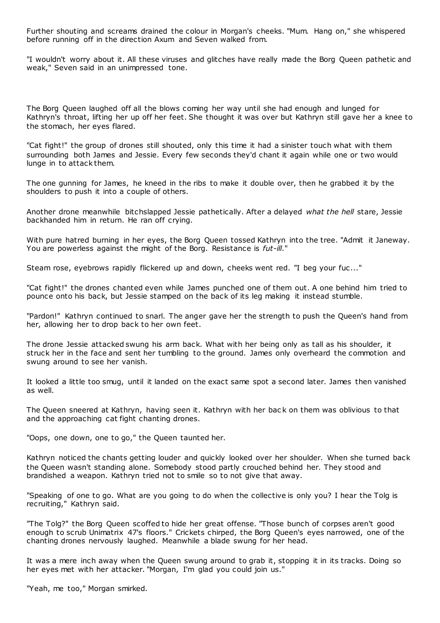Further shouting and screams drained the colour in Morgan's cheeks. "Mum. Hang on," she whispered before running off in the direction Axum and Seven walked from.

"I wouldn't worry about it. All these viruses and glitches have really made the Borg Queen pathetic and weak," Seven said in an unimpressed tone.

The Borg Queen laughed off all the blows coming her way until she had enough and lunged for Kathryn's throat, lifting her up off her feet. She thought it was over but Kathryn still gave her a knee to the stomach, her eyes flared.

"Cat fight!" the group of drones still shouted, only this time it had a sinister touch what with them surrounding both James and Jessie. Every few seconds they'd chant it again while one or two would lunge in to attack them.

The one gunning for James, he kneed in the ribs to make it double over, then he grabbed it by the shoulders to push it into a couple of others.

Another drone meanwhile bitchslapped Jessie pathetically. After a delayed *what the hell* stare, Jessie backhanded him in return. He ran off crying.

With pure hatred burning in her eyes, the Borg Queen tossed Kathryn into the tree. "Admit it Janeway. You are powerless against the might of the Borg. Resistance is *fut-ill*."

Steam rose, evebrows rapidly flickered up and down, cheeks went red. "I beg your fuc..."

"Cat fight!" the drones chanted even while James punched one of them out. A one behind him tried to pounce onto his back, but Jessie stamped on the back of its leg making it instead stumble.

"Pardon!" Kathryn continued to snarl. The anger gave her the strength to push the Queen's hand from her, allowing her to drop back to her own feet.

The drone Jessie attacked swung his arm back. What with her being only as tall as his shoulder, it struck her in the face and sent her tumbling to the ground. James only overheard the commotion and swung around to see her vanish.

It looked a little too smug, until it landed on the exact same spot a second later. James then vanished as well.

The Queen sneered at Kathryn, having seen it. Kathryn with her bac k on them was oblivious to that and the approaching cat fight chanting drones.

"Oops, one down, one to go," the Queen taunted her.

Kathryn noticed the chants getting louder and quickly looked over her shoulder. When she turned back the Queen wasn't standing alone. Somebody stood partly crouched behind her. They stood and brandished a weapon. Kathryn tried not to smile so to not give that away.

"Speaking of one to go. What are you going to do when the collective is only you? I hear the Tolg is recruiting," Kathryn said.

"The Tolg?" the Borg Queen scoffed to hide her great offense. "Those bunch of corpses aren't good enough to scrub Unimatrix 47's floors." Crickets chirped, the Borg Queen's eyes narrowed, one of the chanting drones nervously laughed. Meanwhile a blade swung for her head.

It was a mere inch away when the Queen swung around to grab it, stopping it in its tracks. Doing so her eyes met with her attacker. "Morgan, I'm glad you could join us."

"Yeah, me too," Morgan smirked.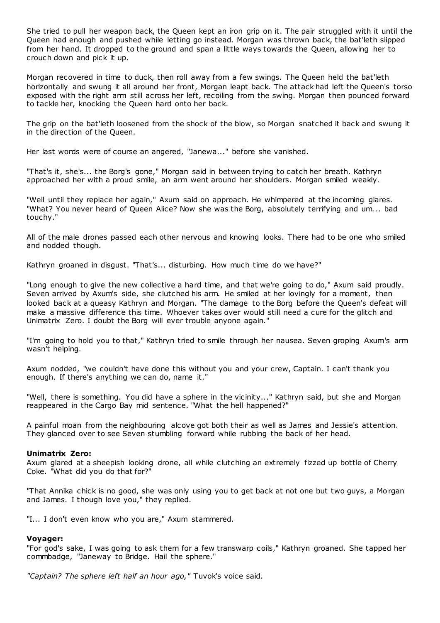She tried to pull her weapon back, the Queen kept an iron grip on it. The pair struggled with it until the Queen had enough and pushed while letting go instead. Morgan was thrown back, the bat'leth slipped from her hand. It dropped to the ground and span a little ways towards the Queen, allowing her to crouch down and pick it up.

Morgan recovered in time to duck, then roll away from a few swings. The Queen held the bat'leth horizontally and swung it all around her front, Morgan leapt back. The attack had left the Queen's torso exposed with the right arm still across her left, recoiling from the swing. Morgan then pounced forward to tackle her, knocking the Queen hard onto her back.

The grip on the bat'leth loosened from the shock of the blow, so Morgan snatched it back and swung it in the direction of the Queen.

Her last words were of course an angered, "Janewa..." before she vanished.

"That's it, she's... the Borg's gone," Morgan said in between trying to catch her breath. Kathryn approached her with a proud smile, an arm went around her shoulders. Morgan smiled weakly.

"Well until they replace her again," Axum said on approach. He whimpered at the incoming glares. "What? You never heard of Queen Alice? Now she was the Borg, absolutely terrifying and um... bad touchy."

All of the male drones passed each other nervous and knowing looks. There had to be one who smiled and nodded though.

Kathryn groaned in disgust. "That's... disturbing. How much time do we have?"

"Long enough to give the new collective a hard time, and that we're going to do," Axum said proudly. Seven arrived by Axum's side, she clutched his arm. He smiled at her lovingly for a moment, then looked back at a queasy Kathryn and Morgan. "The damage to the Borg before the Queen's defeat will make a massive difference this time. Whoever takes over would still need a cure for the glitch and Unimatrix Zero. I doubt the Borg will ever trouble anyone again."

"I'm going to hold you to that," Kathryn tried to smile through her nausea. Seven groping Axum's arm wasn't helping.

Axum nodded, "we couldn't have done this without you and your crew, Captain. I can't thank you enough. If there's anything we can do, name it."

"Well, there is something. You did have a sphere in the vicinity..." Kathryn said, but she and Morgan reappeared in the Cargo Bay mid sentence. "What the hell happened?"

A painful moan from the neighbouring alcove got both their as well as James and Jessie's attention. They glanced over to see Seven stumbling forward while rubbing the back of her head.

# **Unimatrix Zero:**

Axum glared at a sheepish looking drone, all while clutching an extremely fizzed up bottle of Cherry Coke. "What did you do that for?"

"That Annika chick is no good, she was only using you to get back at not one but two guys, a Morgan and James. I though love you," they replied.

"I... I don't even know who you are," Axum stammered.

# **Voyager:**

"For god's sake, I was going to ask them for a few transwarp coils," Kathryn groaned. She tapped her commbadge, "Janeway to Bridge. Hail the sphere."

*"Captain? The sphere left half an hour ago,"* Tuvok's voice said.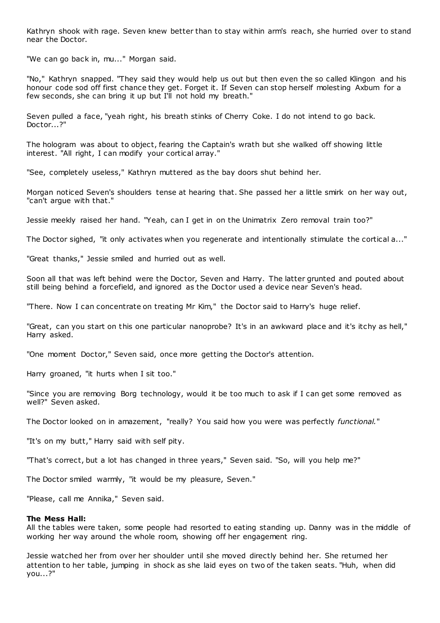Kathryn shook with rage. Seven knew better than to stay within arm's reach, she hurried over to stand near the Doctor.

"We can go back in, mu..." Morgan said.

"No," Kathryn snapped. "They said they would help us out but then even the so called Klingon and his honour code sod off first chance they get. Forget it. If Seven can stop herself molesting Axbum for a few seconds, she can bring it up but I'll not hold my breath."

Seven pulled a face, "yeah right, his breath stinks of Cherry Coke. I do not intend to go back. Doctor...?"

The hologram was about to object, fearing the Captain's wrath but she walked off showing little interest. "All right, I can modify your cortical array."

"See, completely useless," Kathryn muttered as the bay doors shut behind her.

Morgan noticed Seven's shoulders tense at hearing that. She passed her a little smirk on her way out, "can't argue with that."

Jessie meekly raised her hand. "Yeah, can I get in on the Unimatrix Zero removal train too?"

The Doctor sighed, "it only activates when you regenerate and intentionally stimulate the cortical a..."

"Great thanks," Jessie smiled and hurried out as well.

Soon all that was left behind were the Doctor, Seven and Harry. The latter grunted and pouted about still being behind a forcefield, and ignored as the Doctor used a device near Seven's head.

"There. Now I can concentrate on treating Mr Kim," the Doctor said to Harry's huge relief.

"Great, can you start on this one particular nanoprobe? It's in an awkward place and it's itchy as hell," Harry asked.

"One moment Doctor," Seven said, once more getting the Doctor's attention.

Harry groaned, "it hurts when I sit too."

"Since you are removing Borg technology, would it be too much to ask if I can get some removed as well?" Seven asked.

The Doctor looked on in amazement, "really? You said how you were was perfectly *functional.*"

"It's on my butt," Harry said with self pity.

"That's correct, but a lot has changed in three years," Seven said. "So, will you help me?"

The Doctor smiled warmly, "it would be my pleasure, Seven."

"Please, call me Annika," Seven said.

#### **The Mess Hall:**

All the tables were taken, some people had resorted to eating standing up. Danny was in the middle of working her way around the whole room, showing off her engagement ring.

Jessie watched her from over her shoulder until she moved directly behind her. She returned her attention to her table, jumping in shock as she laid eyes on two of the taken seats. "Huh, when did you...?"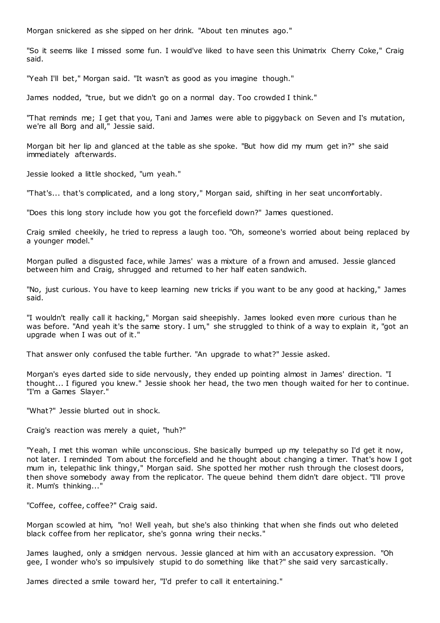Morgan snickered as she sipped on her drink. "About ten minutes ago."

"So it seems like I missed some fun. I would've liked to have seen this Unimatrix Cherry Coke," Craig said.

"Yeah I'll bet," Morgan said. "It wasn't as good as you imagine though."

James nodded, "true, but we didn't go on a normal day. Too crowded I think."

"That reminds me; I get that you, Tani and James were able to piggyback on Seven and I's mutation, we're all Borg and all," Jessie said.

Morgan bit her lip and glanced at the table as she spoke. "But how did my mum get in?" she said immediately afterwards.

Jessie looked a little shocked, "um yeah."

"That's... that's complicated, and a long story," Morgan said, shifting in her seat uncomfortably.

"Does this long story include how you got the forcefield down?" James questioned.

Craig smiled cheekily, he tried to repress a laugh too. "Oh, someone's worried about being replaced by a younger model."

Morgan pulled a disgusted face, while James' was a mixture of a frown and amused. Jessie glanced between him and Craig, shrugged and returned to her half eaten sandwich.

"No, just curious. You have to keep learning new tricks if you want to be any good at hacking," James said.

"I wouldn't really call it hacking," Morgan said sheepishly. James looked even more curious than he was before. "And yeah it's the same story. I um," she struggled to think of a way to explain it, "got an upgrade when I was out of it."

That answer only confused the table further. "An upgrade to what?" Jessie asked.

Morgan's eyes darted side to side nervously, they ended up pointing almost in James' direction. "I thought... I figured you knew." Jessie shook her head, the two men though waited for her to continue. "I'm a Games Slayer."

"What?" Jessie blurted out in shock.

Craig's reaction was merely a quiet, "huh?"

"Yeah, I met this woman while unconscious. She basically bumped up my telepathy so I'd get it now, not later. I reminded Tom about the forcefield and he thought about changing a timer. That's how I got mum in, telepathic link thingy," Morgan said. She spotted her mother rush through the closest doors, then shove somebody away from the replicator. The queue behind them didn't dare object. "I'll prove it. Mum's thinking..."

"Coffee, coffee, coffee?" Craig said.

Morgan scowled at him, "no! Well yeah, but she's also thinking that when she finds out who deleted black coffee from her replicator, she's gonna wring their necks."

James laughed, only a smidgen nervous. Jessie glanced at him with an accusatory expression. "Oh gee, I wonder who's so impulsively stupid to do something like that?" she said very sarcastically.

James directed a smile toward her, "I'd prefer to call it entertaining."